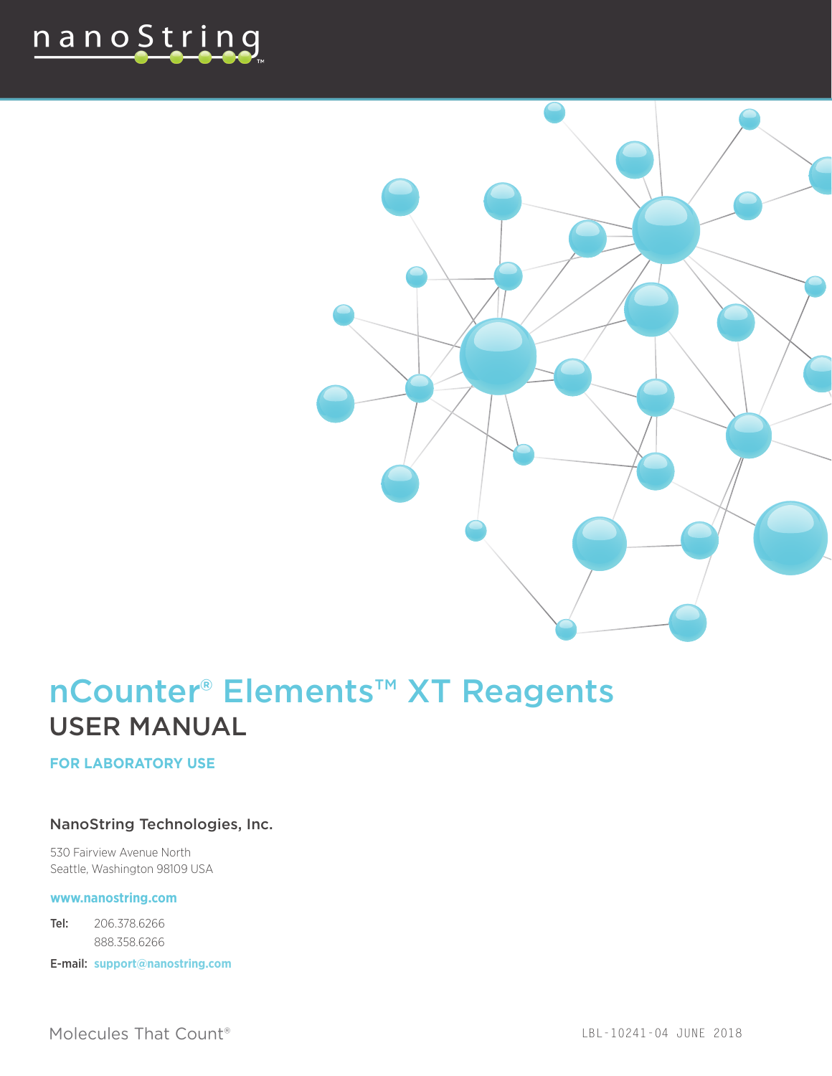



# nCounter® Elements™ XT Reagents USER MANUAL

#### **FOR LABORATORY USE**

#### NanoString Technologies, Inc.

530 Fairview Avenue North Seattle, Washington 98109 USA

#### **[www.nanostring.com](http://www.nanostring.com)**

Tel: 206.378.6266 888.358.6266

E-mail: **[support@nanostring.com](mailto:support%40nanostring.com?subject=)**

Molecules That Count<sup>®</sup> 2018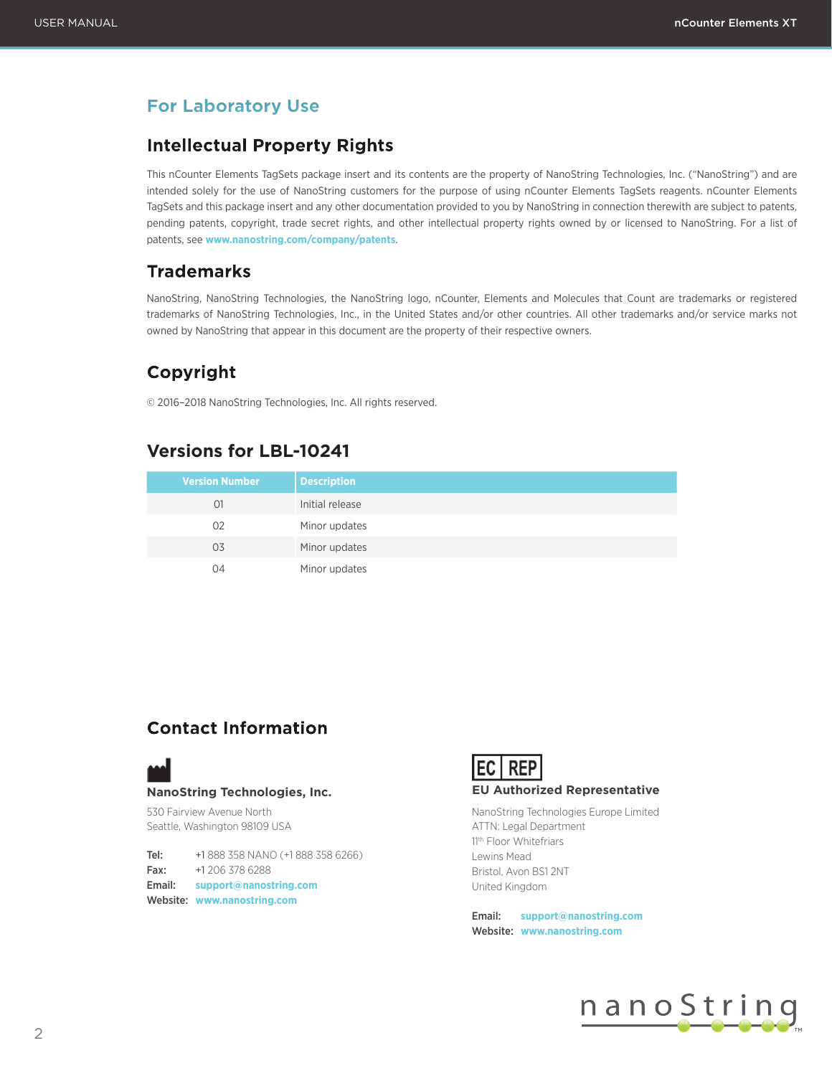#### **For Laboratory Use**

#### **Intellectual Property Rights**

This nCounter Elements TagSets package insert and its contents are the property of NanoString Technologies, Inc. ("NanoString") and are intended solely for the use of NanoString customers for the purpose of using nCounter Elements TagSets reagents. nCounter Elements TagSets and this package insert and any other documentation provided to you by NanoString in connection therewith are subject to patents, pending patents, copyright, trade secret rights, and other intellectual property rights owned by or licensed to NanoString. For a list of patents, see **[www.nanostring.com/company/patents](http://www.nanostring.com/company/patents)**.

#### **Trademarks**

NanoString, NanoString Technologies, the NanoString logo, nCounter, Elements and Molecules that Count are trademarks or registered trademarks of NanoString Technologies, Inc., in the United States and/or other countries. All other trademarks and/or service marks not owned by NanoString that appear in this document are the property of their respective owners.

#### Copyright

© 2016–2018 NanoString Technologies, Inc. All rights reserved.

### **Versions for LBL-10241**

| <b>Version Number</b> | <b>Description</b> |
|-----------------------|--------------------|
| 01                    | Initial release    |
| 02                    | Minor updates      |
| 03                    | Minor updates      |
| 04                    | Minor updates      |

#### **Contact Information**



#### **NanoString Technologies, Inc.**

530 Fairview Avenue North Seattle, Washington 98109 USA

Tel: +1 888 358 NANO (+1 888 358 6266) Fax: +1 206 378 6288 Email: **[support@nanostring.com](mailto:support%40nanostring.com?subject=)**

Website: **[www.nanostring.com](http://www.nanostring.com)**



#### **EU Authorized Representative**

NanoString Technologies Europe Limited ATTN: Legal Department 11th Floor Whitefriars Lewins Mead Bristol, Avon BS1 2NT United Kingdom

Email: **sup[port@nanostring.com](mailto:support%40nanostring.com?subject=)** Website: **[www.nanostring.com](http://www.nanostring.com)**

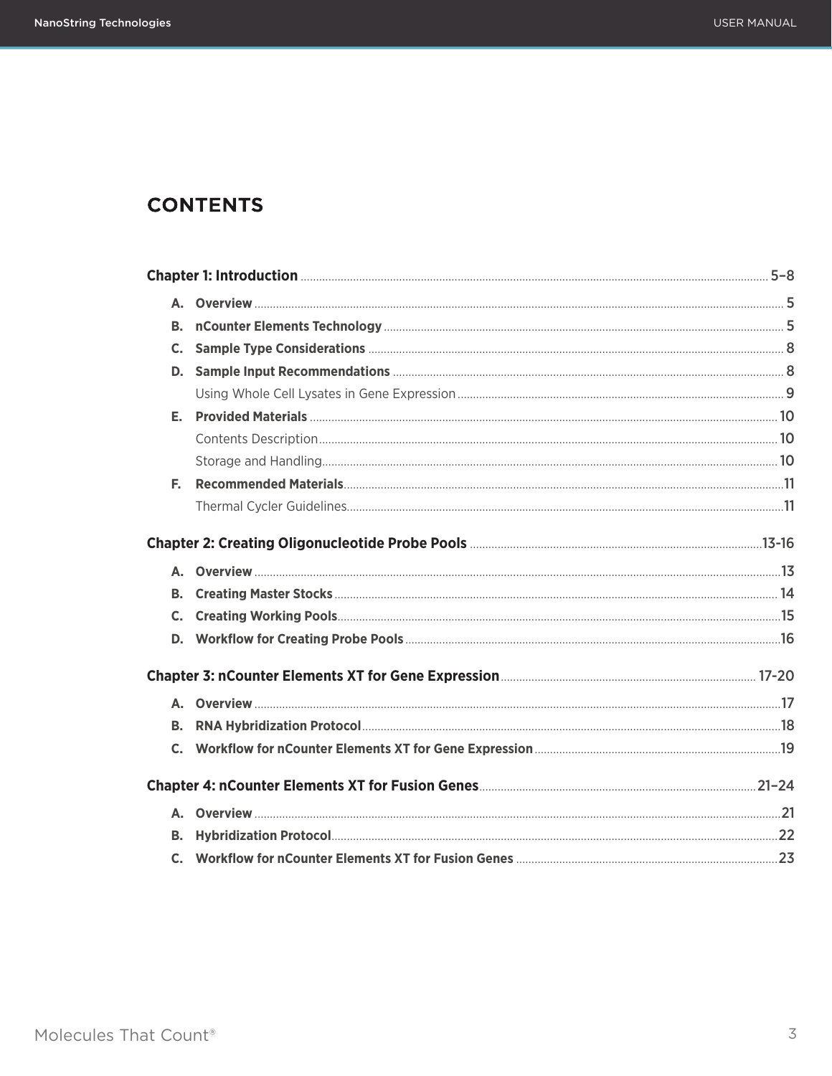### **CONTENTS**

| В.             |  |
|----------------|--|
| $\mathsf{C}$ . |  |
| D.             |  |
|                |  |
| Е.,            |  |
|                |  |
|                |  |
| E.             |  |
|                |  |
|                |  |
|                |  |
| <b>B.</b>      |  |
|                |  |
|                |  |
|                |  |
|                |  |
| <b>B.</b>      |  |
| $\mathsf{C}$ . |  |
|                |  |
|                |  |
| В.             |  |
| $\mathsf{C}$ . |  |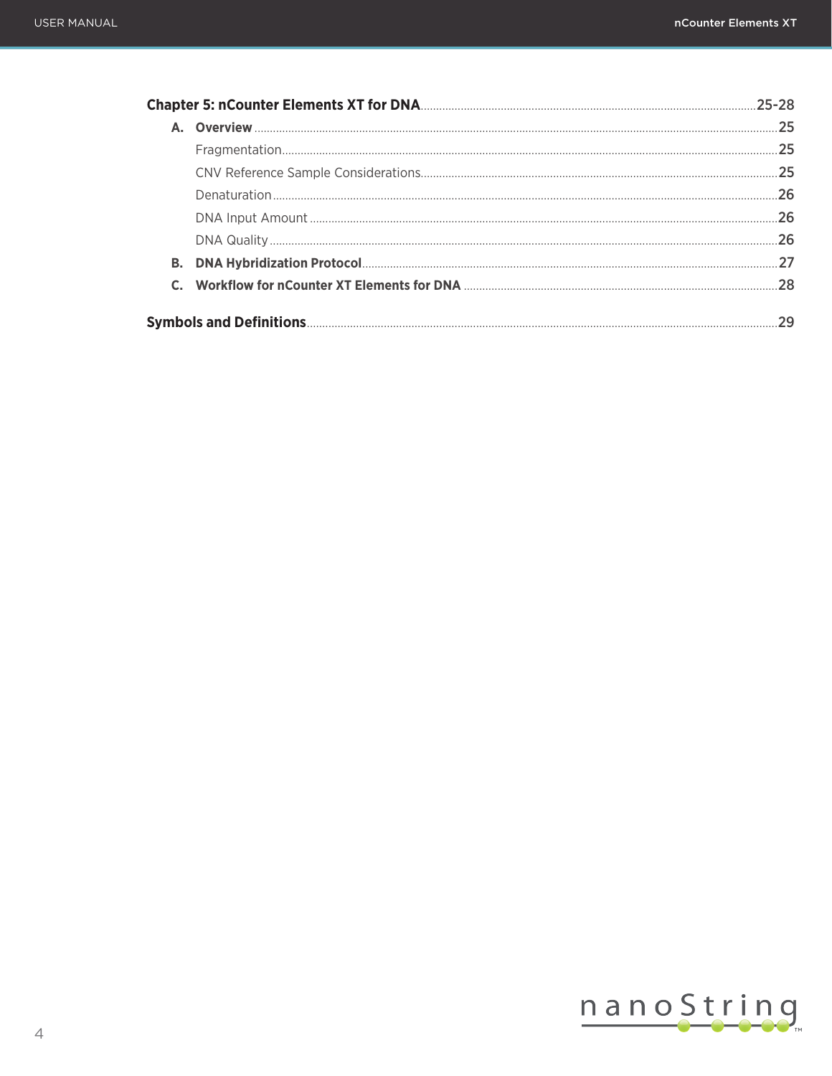| $\begin{minipage}[c]{0.9\linewidth} \textbf{Fragmentation} \end{minipage} \begin{minipage}[c]{0.9\linewidth} \textbf{25} \end{minipage}$ |  |
|------------------------------------------------------------------------------------------------------------------------------------------|--|
|                                                                                                                                          |  |
|                                                                                                                                          |  |
|                                                                                                                                          |  |
|                                                                                                                                          |  |
|                                                                                                                                          |  |
|                                                                                                                                          |  |
|                                                                                                                                          |  |

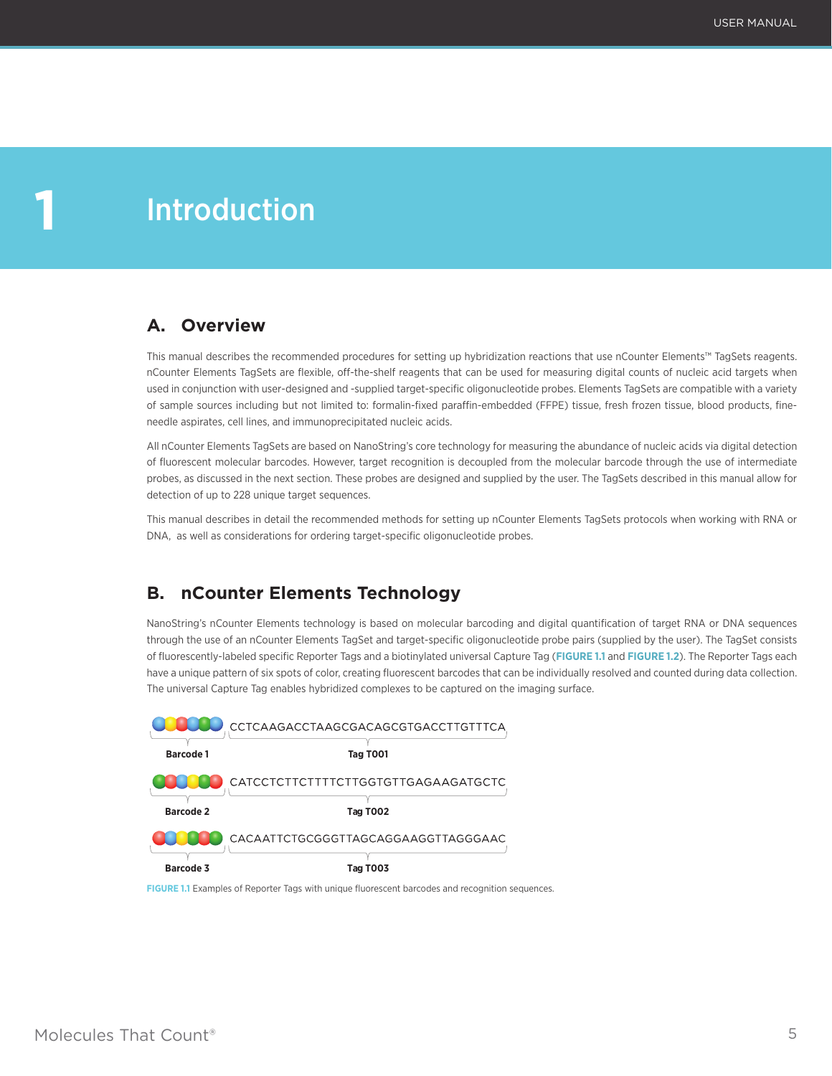## **1** Introduction

#### **A. Overview**

This manual describes the recommended procedures for setting up hybridization reactions that use nCounter Elements™ TagSets reagents. nCounter Elements TagSets are flexible, off-the-shelf reagents that can be used for measuring digital counts of nucleic acid targets when used in conjunction with user-designed and -supplied target-specific oligonucleotide probes. Elements TagSets are compatible with a variety of sample sources including but not limited to: formalin-fixed paraffin-embedded (FFPE) tissue, fresh frozen tissue, blood products, fineneedle aspirates, cell lines, and immunoprecipitated nucleic acids.

All nCounter Elements TagSets are based on NanoString's core technology for measuring the abundance of nucleic acids via digital detection of fluorescent molecular barcodes. However, target recognition is decoupled from the molecular barcode through the use of intermediate probes, as discussed in the next section. These probes are designed and supplied by the user. The TagSets described in this manual allow for detection of up to 228 unique target sequences.

This manual describes in detail the recommended methods for setting up nCounter Elements TagSets protocols when working with RNA or DNA, as well as considerations for ordering target-specific oligonucleotide probes.

#### **B. nCounter Elements Technology**

NanoString's nCounter Elements technology is based on molecular barcoding and digital quantification of target RNA or DNA sequences through the use of an nCounter Elements TagSet and target-specific oligonucleotide probe pairs (supplied by the user). The TagSet consists of fluorescently-labeled specific Reporter Tags and a biotinylated universal Capture Tag (**FIGURE 1.1** and **FIGURE 1.2**). The Reporter Tags each have a unique pattern of six spots of color, creating fluorescent barcodes that can be individually resolved and counted during data collection. The universal Capture Tag enables hybridized complexes to be captured on the imaging surface.



FIGURE 1.1 Examples of Reporter Tags with unique fluorescent barcodes and recognition sequences.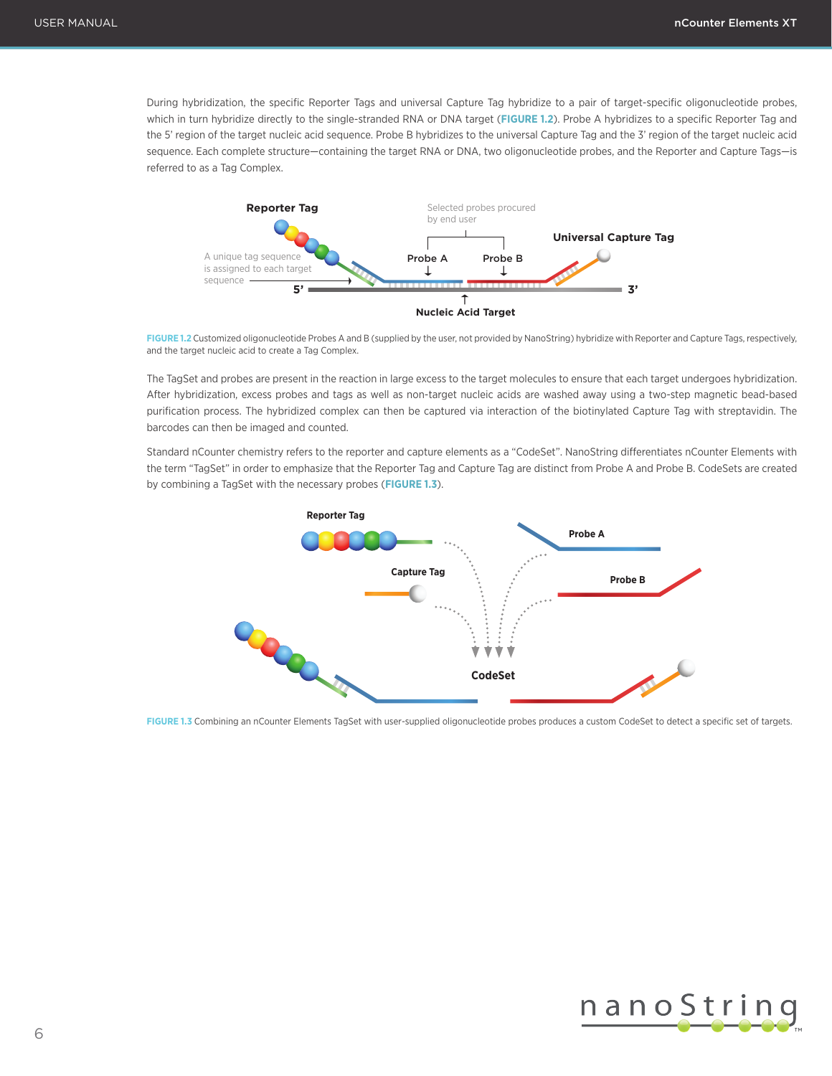During hybridization, the specific Reporter Tags and universal Capture Tag hybridize to a pair of target-specific oligonucleotide probes, which in turn hybridize directly to the single-stranded RNA or DNA target (**FIGURE 1.2**). Probe A hybridizes to a specific Reporter Tag and the 5' region of the target nucleic acid sequence. Probe B hybridizes to the universal Capture Tag and the 3' region of the target nucleic acid sequence. Each complete structure—containing the target RNA or DNA, two oligonucleotide probes, and the Reporter and Capture Tags—is referred to as a Tag Complex.



**FIGURE 1.2** Customized oligonucleotide Probes A and B (supplied by the user, not provided by NanoString) hybridize with Reporter and Capture Tags, respectively, and the target nucleic acid to create a Tag Complex.

The TagSet and probes are present in the reaction in large excess to the target molecules to ensure that each target undergoes hybridization. After hybridization, excess probes and tags as well as non-target nucleic acids are washed away using a two-step magnetic bead-based purification process. The hybridized complex can then be captured via interaction of the biotinylated Capture Tag with streptavidin. The barcodes can then be imaged and counted.

Standard nCounter chemistry refers to the reporter and capture elements as a "CodeSet". NanoString differentiates nCounter Elements with the term "TagSet" in order to emphasize that the Reporter Tag and Capture Tag are distinct from Probe A and Probe B. CodeSets are created by combining a TagSet with the necessary probes (**FIGURE 1.3**).



FIGURE 1.3 Combining an nCounter Elements TagSet with user-supplied oligonucleotide probes produces a custom CodeSet to detect a specific set of targets.

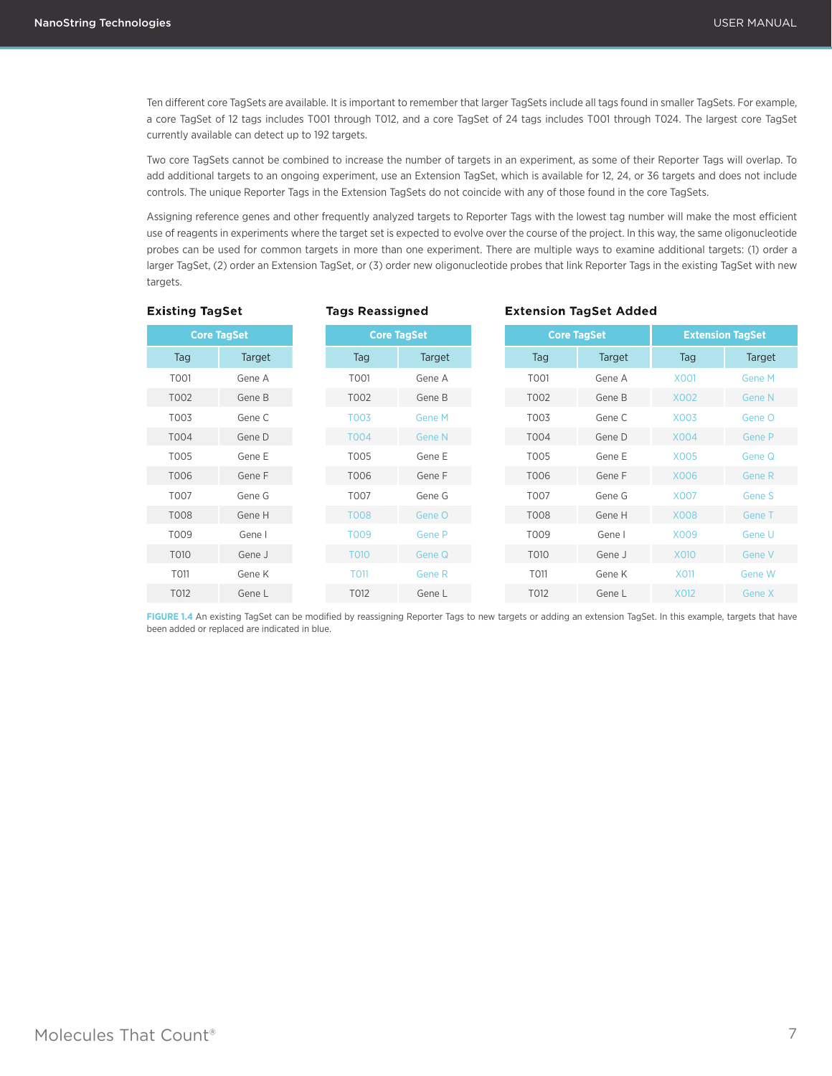Ten different core TagSets are available. It is important to remember that larger TagSets include all tags found in smaller TagSets. For example, a core TagSet of 12 tags includes T001 through T012, and a core TagSet of 24 tags includes T001 through T024. The largest core TagSet currently available can detect up to 192 targets.

Two core TagSets cannot be combined to increase the number of targets in an experiment, as some of their Reporter Tags will overlap. To add additional targets to an ongoing experiment, use an Extension TagSet, which is available for 12, 24, or 36 targets and does not include controls. The unique Reporter Tags in the Extension TagSets do not coincide with any of those found in the core TagSets.

Assigning reference genes and other frequently analyzed targets to Reporter Tags with the lowest tag number will make the most efficient use of reagents in experiments where the target set is expected to evolve over the course of the project. In this way, the same oligonucleotide probes can be used for common targets in more than one experiment. There are multiple ways to examine additional targets: (1) order a larger TagSet, (2) order an Extension TagSet, or (3) order new oligonucleotide probes that link Reporter Tags in the existing TagSet with new targets.

| <b>Existing TagSet</b> |                    |             | <b>Extension TagSet Added</b><br>Tags Reassigned |      |                    |                         |        |
|------------------------|--------------------|-------------|--------------------------------------------------|------|--------------------|-------------------------|--------|
|                        | <b>Core TagSet</b> |             | <b>Core TagSet</b>                               |      | <b>Core TagSet</b> | <b>Extension TagSet</b> |        |
| Tag                    | Target             | Tag         | Target                                           | Tag  | Target             | Tag                     |        |
| T001                   | Gene A             | T001        | Gene A                                           | T001 | Gene A             | X001                    |        |
| T002                   | Gene B             | T002        | Gene B                                           | T002 | Gene B             | X002                    |        |
| T003                   | Gene C             | <b>TO03</b> | Gene M                                           | T003 | Gene C             | X003                    |        |
| T004                   | Gene D             | T004        | Gene N                                           | T004 | Gene D             | <b>X004</b>             |        |
| T005                   | Gene E             | T005        | Gene E                                           | T005 | Gene E             | X005                    |        |
| T006                   | Gene F             | T006        | Gene F                                           | T006 | Gene F             | X006                    |        |
| T007                   | Gene G             | T007        | Gene G                                           | T007 | Gene G             | X007                    |        |
| T008                   | Gene H             | T008        | Gene O                                           | T008 | Gene H             | X008                    |        |
| T009                   | Gene I             | T009        | Gene P                                           | T009 | Gene I             | X009                    |        |
| T010                   | Gene J             | T010        | Gene Q                                           | T010 | Gene J             | X010                    |        |
| T011                   | Gene K             | <b>TO11</b> | Gene R                                           | T011 | Gene K             | X011                    | Gene W |
| T012                   | Gene L             | T012        | Gene L                                           | T012 | Gene L             | X012                    |        |
|                        |                    |             |                                                  |      |                    |                         |        |

FIGURE 1.4 An existing TagSet can be modified by reassigning Reporter Tags to new targets or adding an extension TagSet. In this example, targets that have been added or replaced are indicated in blue.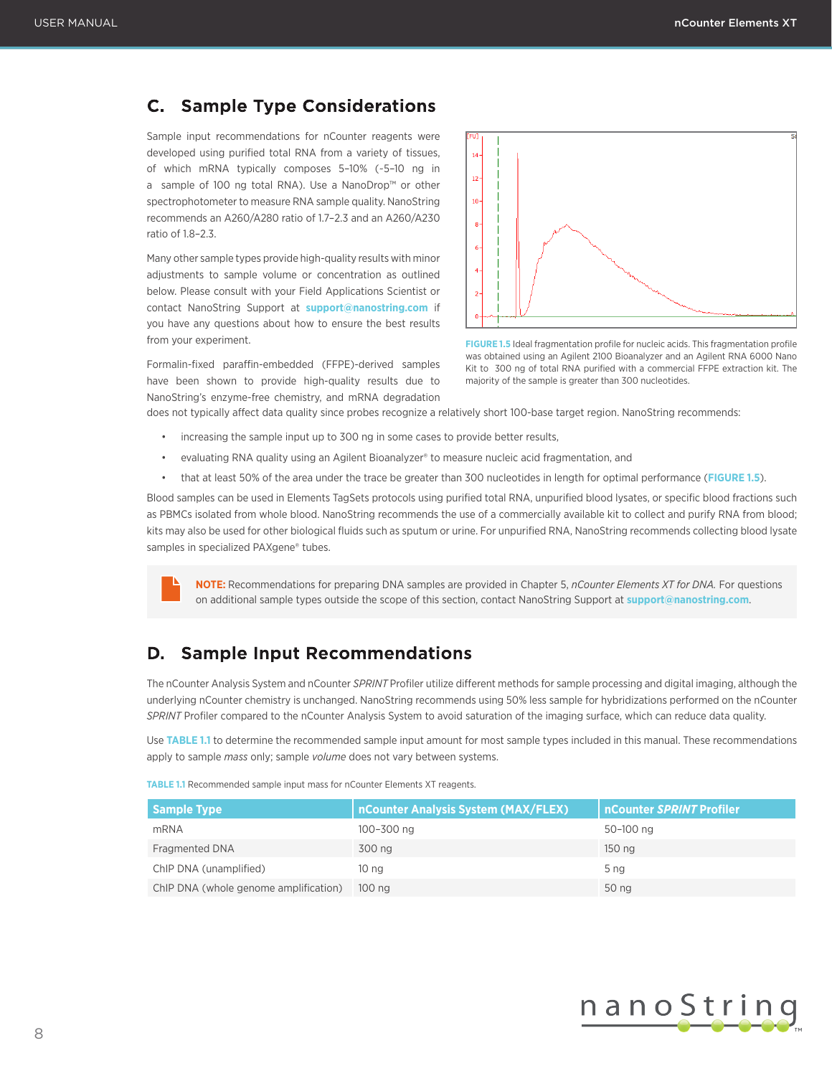#### **C.** Sample Type Considerations

Sample input recommendations for nCounter reagents were developed using purified total RNA from a variety of tissues, of which mRNA typically composes 5–10% (~5–10 ng in a sample of 100 ng total RNA). Use a NanoDrop™ or other spectrophotometer to measure RNA sample quality. NanoString recommends an A260/A280 ratio of 1.7–2.3 and an A260/A230 ratio of 1.8–2.3.

Many other sample types provide high-quality results with minor adjustments to sample volume or concentration as outlined below. Please consult with your Field Applications Scientist or contact NanoString Support at **[support@nanostring.com](mailto:support%40nanostring.com?subject=)** if you have any questions about how to ensure the best results from your experiment.



Formalin-fixed paraffin-embedded (FFPE)-derived samples have been shown to provide high-quality results due to NanoString's enzyme-free chemistry, and mRNA degradation

**FIGURE 1.5** Ideal fragmentation profile for nucleic acids. This fragmentation profile was obtained using an Agilent 2100 Bioanalyzer and an Agilent RNA 6000 Nano Kit to 300 ng of total RNA purified with a commercial FFPE extraction kit. The majority of the sample is greater than 300 nucleotides.

does not typically affect data quality since probes recognize a relatively short 100-base target region. NanoString recommends:

- increasing the sample input up to 300 ng in some cases to provide better results,
- evaluating RNA quality using an Agilent Bioanalyzer® to measure nucleic acid fragmentation, and
- that at least 50% of the area under the trace be greater than 300 nucleotides in length for optimal performance (**FIGURE 1.5**).

Blood samples can be used in Elements TagSets protocols using purified total RNA, unpurified blood lysates, or specific blood fractions such as PBMCs isolated from whole blood. NanoString recommends the use of a commercially available kit to collect and purify RNA from blood; kits may also be used for other biological fluids such as sputum or urine. For unpurified RNA, NanoString recommends collecting blood lysate samples in specialized PAXgene® tubes.

**NOTE:** Recommendations for preparing DNA samples are provided in Chapter 5, *nCounter Elements XT for DNA.* For questions on additional sample types outside the scope of this section, contact NanoString Support at **[support@nanostring.com](mailto:support%40nanostring.com?subject=)**.

#### **Sample Input Recommendations** D.

The nCounter Analysis System and nCounter *SPRINT* Profiler utilize different methods for sample processing and digital imaging, although the underlying nCounter chemistry is unchanged. NanoString recommends using 50% less sample for hybridizations performed on the nCounter *SPRINT* Profiler compared to the nCounter Analysis System to avoid saturation of the imaging surface, which can reduce data quality.

Use **TABLE 1.1** to determine the recommended sample input amount for most sample types included in this manual. These recommendations apply to sample *mass* only; sample *volume* does not vary between systems.

**TABLE 1.1** Recommended sample input mass for nCounter Elements XT reagents.

| Sample Type                           | nCounter Analysis System (MAX/FLEX) | nCounter SPRINT Profiler |
|---------------------------------------|-------------------------------------|--------------------------|
| mRNA                                  | 100-300 ng                          | 50-100 ng                |
| Fragmented DNA                        | 300 ng                              | 150 ng                   |
| ChIP DNA (unamplified)                | 10 ng                               | 5 <sub>ng</sub>          |
| ChIP DNA (whole genome amplification) | 100 ng                              | 50 ng                    |

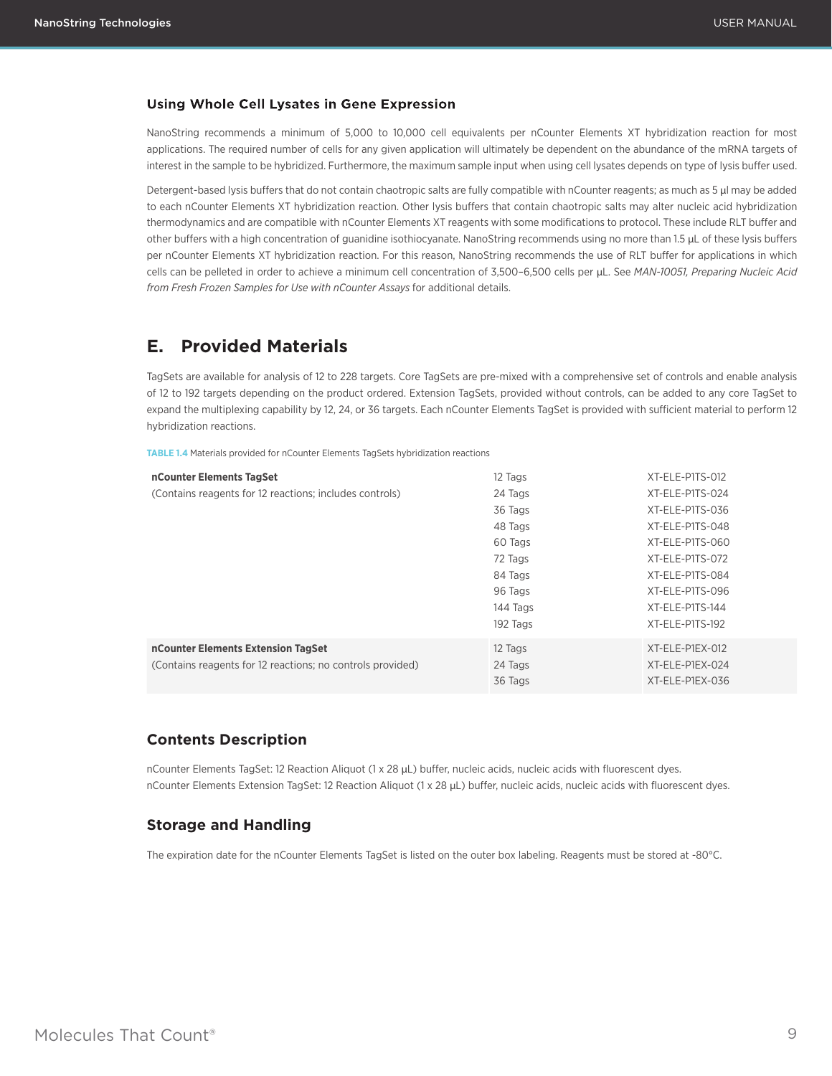#### <span id="page-8-0"></span>**Using Whole Cell Lysates in Gene Expression**

NanoString recommends a minimum of 5,000 to 10,000 cell equivalents per nCounter Elements XT hybridization reaction for most applications. The required number of cells for any given application will ultimately be dependent on the abundance of the mRNA targets of interest in the sample to be hybridized. Furthermore, the maximum sample input when using cell lysates depends on type of lysis buffer used.

Detergent-based lysis buffers that do not contain chaotropic salts are fully compatible with nCounter reagents; as much as 5 μl may be added to each nCounter Elements XT hybridization reaction. Other lysis buffers that contain chaotropic salts may alter nucleic acid hybridization thermodynamics and are compatible with nCounter Elements XT reagents with some modifications to protocol. These include RLT buffer and other buffers with a high concentration of guanidine isothiocyanate. NanoString recommends using no more than 1.5 μL of these lysis buffers per nCounter Elements XT hybridization reaction. For this reason, NanoString recommends the use of RLT buffer for applications in which cells can be pelleted in order to achieve a minimum cell concentration of 3,500–6,500 cells per μL. See *[MAN-10051, Preparing Nucleic Acid](https://www.nanostring.com/download_file/view/860/3778)  [from Fresh Frozen Samples for Use with nCounter Assays](https://www.nanostring.com/download_file/view/860/3778)* for additional details.

#### **E. Provided Materials**

TagSets are available for analysis of 12 to 228 targets. Core TagSets are pre-mixed with a comprehensive set of controls and enable analysis of 12 to 192 targets depending on the product ordered. Extension TagSets, provided without controls, can be added to any core TagSet to expand the multiplexing capability by 12, 24, or 36 targets. Each nCounter Elements TagSet is provided with sufficient material to perform 12 hybridization reactions.

**TABLE 1.4** Materials provided for nCounter Elements TagSets hybridization reactions

| nCounter Elements TagSet                                   | 12 Tags  | XT-ELE-P1TS-012 |
|------------------------------------------------------------|----------|-----------------|
| (Contains reagents for 12 reactions; includes controls)    | 24 Tags  | XT-ELE-PITS-024 |
|                                                            | 36 Tags  | XT-ELE-PITS-036 |
|                                                            | 48 Tags  | XT-ELE-PITS-048 |
|                                                            | 60 Tags  | XT-ELE-PITS-060 |
|                                                            | 72 Tags  | XT-ELE-PITS-072 |
|                                                            | 84 Tags  | XT-ELE-PITS-084 |
|                                                            | 96 Tags  | XT-ELE-PITS-096 |
|                                                            | 144 Tags | XT-ELE-PITS-144 |
|                                                            | 192 Tags | XT-ELE-P1TS-192 |
| nCounter Elements Extension TagSet                         | 12 Tags  | XT-ELE-P1EX-012 |
| (Contains reagents for 12 reactions; no controls provided) | 24 Tags  | XT-ELE-P1EX-024 |
|                                                            | 36 Tags  | XT-ELE-P1EX-036 |

#### **Contents Description**

nCounter Elements TagSet: 12 Reaction Aliquot (1 x 28 µL) buffer, nucleic acids, nucleic acids with fluorescent dyes. nCounter Elements Extension TagSet: 12 Reaction Aliquot (1 x 28 µL) buffer, nucleic acids, nucleic acids with fluorescent dyes.

#### **Storage and Handling**

The expiration date for the nCounter Elements TagSet is listed on the outer box labeling. Reagents must be stored at -80°C.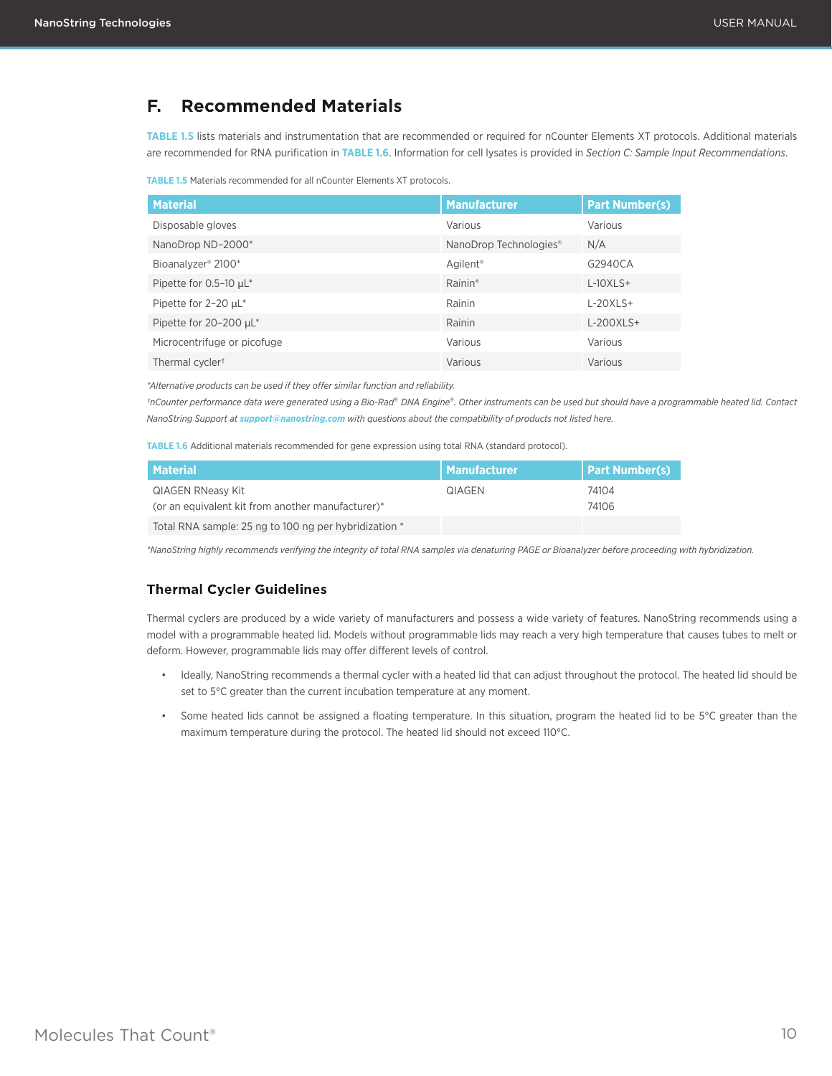#### **Recommended Materials** Е.

**TABLE 1.5** lists materials and instrumentation that are recommended or required for nCounter Elements XT protocols. Additional materials are recommended for RNA purification in **TABLE 1.6**. Information for cell lysates is provided in *Section C: Sample Input Recommendations*.

**TABLE 1.5** Materials recommended for all nCounter Elements XT protocols.

| <b>Material</b>                            | <b>Manufacturer</b>                | <b>Part Number(s)</b> |
|--------------------------------------------|------------------------------------|-----------------------|
| Disposable gloves                          | Various                            | Various               |
| NanoDrop ND-2000*                          | NanoDrop Technologies <sup>®</sup> | N/A                   |
| Bioanalyzer <sup>®</sup> 2100 <sup>*</sup> | Agilent <sup>®</sup>               | G2940CA               |
| Pipette for 0.5-10 µL*                     | $Rainin$ <sup>®</sup>              | $L-10XLS+$            |
| Pipette for 2-20 µL*                       | Rainin                             | $L-20XLS+$            |
| Pipette for 20-200 µL*                     | Rainin                             | $L-200XLS+$           |
| Microcentrifuge or picofuge                | Various                            | Various               |
| Thermal cycler <sup>+</sup>                | Various                            | Various               |

*\*Alternative products can be used if they offer similar function and reliability.* 

*†nCounter performance data were generated using a Bio-Rad*® *DNA Engine*®*. Other instruments can be used but should have a programmable heated lid. Contact NanoString Support at [support@nanostring.com](mailto:support%40nanostring.com?subject=) with questions about the compatibility of products not listed here.*

**TABLE 1.6** Additional materials recommended for gene expression using total RNA (standard protocol).

| <b>Material</b>                                       | Manufacturer | <b>Part Number(s)</b> |
|-------------------------------------------------------|--------------|-----------------------|
| <b>QIAGEN RNeasy Kit</b>                              | QIAGEN       | 74104                 |
| (or an equivalent kit from another manufacturer)*     |              | 74106                 |
| Total RNA sample: 25 ng to 100 ng per hybridization * |              |                       |

*\*NanoString highly recommends verifying the integrity of total RNA samples via denaturing PAGE or Bioanalyzer before proceeding with hybridization.*

#### **Thermal Cycler Guidelines**

Thermal cyclers are produced by a wide variety of manufacturers and possess a wide variety of features. NanoString recommends using a model with a programmable heated lid. Models without programmable lids may reach a very high temperature that causes tubes to melt or deform. However, programmable lids may offer different levels of control.

- Ideally, NanoString recommends a thermal cycler with a heated lid that can adjust throughout the protocol. The heated lid should be set to 5°C greater than the current incubation temperature at any moment.
- Some heated lids cannot be assigned a floating temperature. In this situation, program the heated lid to be 5°C greater than the maximum temperature during the protocol. The heated lid should not exceed 110°C.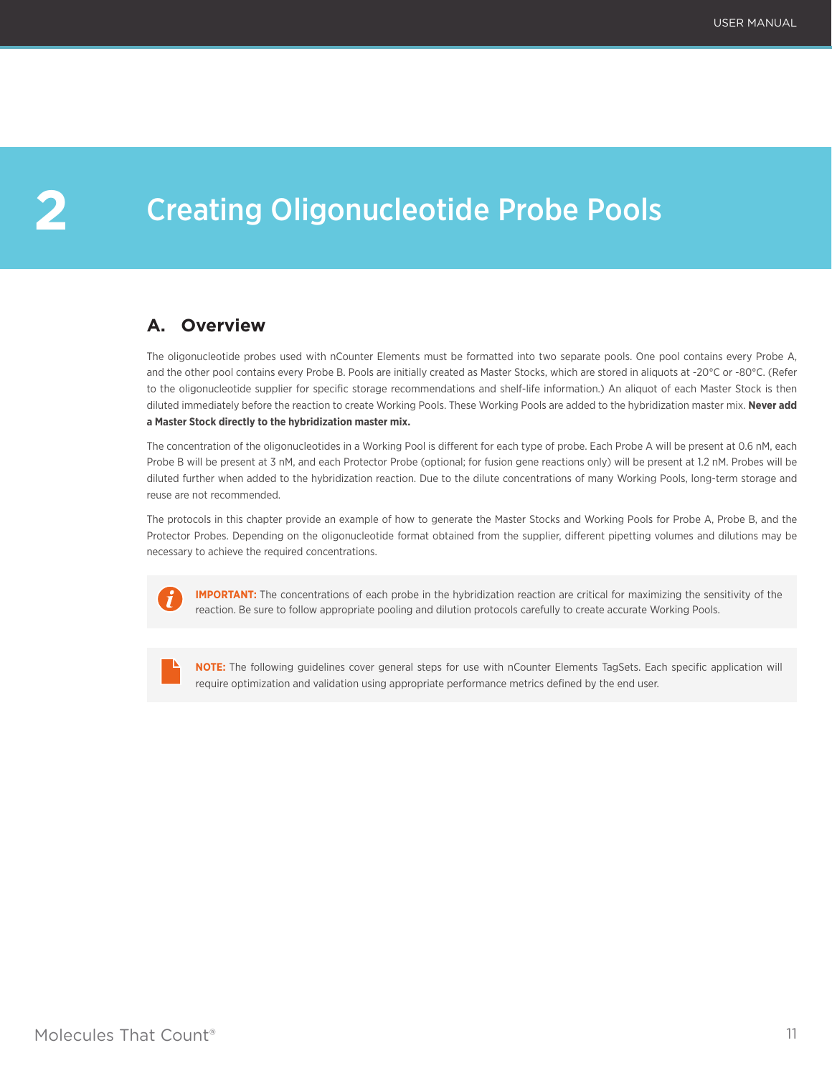# <span id="page-10-0"></span>**2** Creating Oligonucleotide Probe Pools

#### **A. Overview**

The oligonucleotide probes used with nCounter Elements must be formatted into two separate pools. One pool contains every Probe A, and the other pool contains every Probe B. Pools are initially created as Master Stocks, which are stored in aliquots at -20°C or -80°C. (Refer to the oligonucleotide supplier for specific storage recommendations and shelf-life information.) An aliquot of each Master Stock is then diluted immediately before the reaction to create Working Pools. These Working Pools are added to the hybridization master mix. **Never add a Master Stock directly to the hybridization master mix.**

The concentration of the oligonucleotides in a Working Pool is different for each type of probe. Each Probe A will be present at 0.6 nM, each Probe B will be present at 3 nM, and each Protector Probe (optional; for fusion gene reactions only) will be present at 1.2 nM. Probes will be diluted further when added to the hybridization reaction. Due to the dilute concentrations of many Working Pools, long-term storage and reuse are not recommended.

The protocols in this chapter provide an example of how to generate the Master Stocks and Working Pools for Probe A, Probe B, and the Protector Probes. Depending on the oligonucleotide format obtained from the supplier, different pipetting volumes and dilutions may be necessary to achieve the required concentrations.

**IMPORTANT:** The concentrations of each probe in the hybridization reaction are critical for maximizing the sensitivity of the reaction. Be sure to follow appropriate pooling and dilution protocols carefully to create accurate Working Pools.

**NOTE:** The following guidelines cover general steps for use with nCounter Elements TagSets. Each specific application will require optimization and validation using appropriate performance metrics defined by the end user.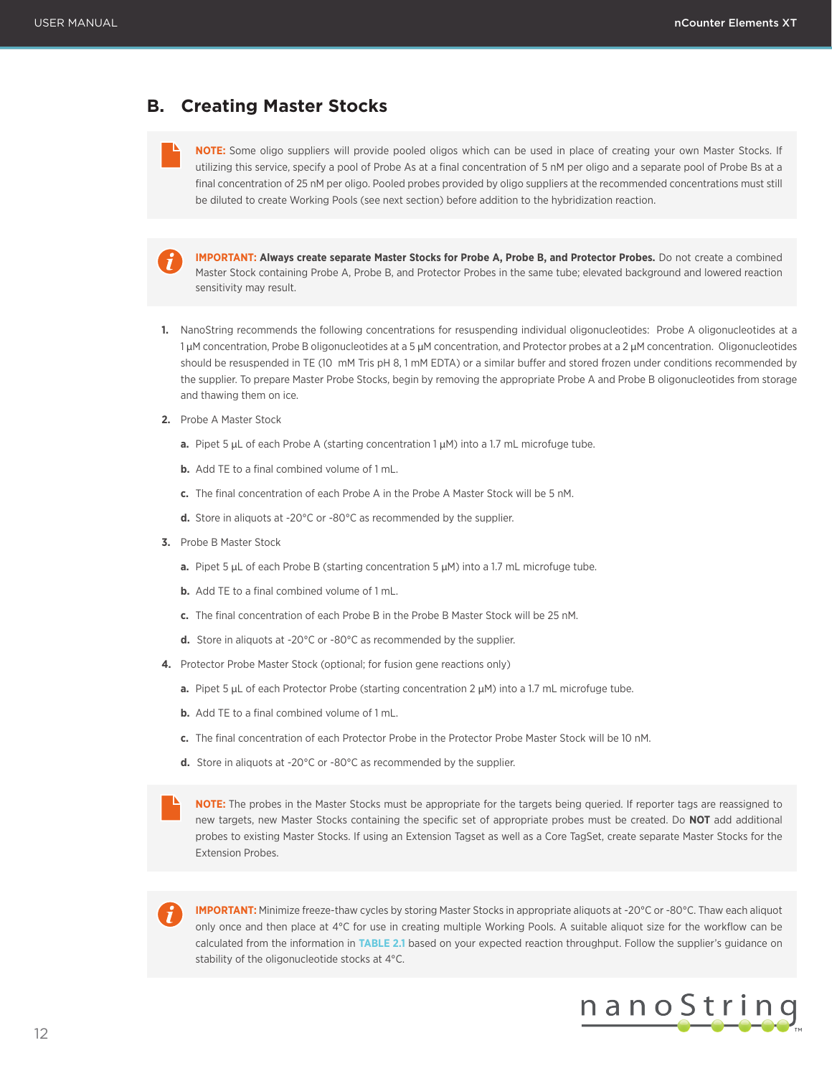#### **B. Creating Master Stocks**

**NOTE:** Some oligo suppliers will provide pooled oligos which can be used in place of creating your own Master Stocks. If utilizing this service, specify a pool of Probe As at a final concentration of 5 nM per oligo and a separate pool of Probe Bs at a final concentration of 25 nM per oligo. Pooled probes provided by oligo suppliers at the recommended concentrations must still be diluted to create Working Pools (see next section) before addition to the hybridization reaction.



**IMPORTANT: Always create separate Master Stocks for Probe A, Probe B, and Protector Probes.** Do not create a combined Master Stock containing Probe A, Probe B, and Protector Probes in the same tube; elevated background and lowered reaction sensitivity may result.

- **1.** NanoString recommends the following concentrations for resuspending individual oligonucleotides: Probe A oligonucleotides at a 1 μM concentration, Probe B oligonucleotides at a 5 μM concentration, and Protector probes at a 2 μM concentration. Oligonucleotides should be resuspended in TE (10 mM Tris pH 8, 1 mM EDTA) or a similar buffer and stored frozen under conditions recommended by the supplier. To prepare Master Probe Stocks, begin by removing the appropriate Probe A and Probe B oligonucleotides from storage and thawing them on ice.
- **2.** Probe A Master Stock
	- **a.** Pipet 5 μL of each Probe A (starting concentration 1 μM) into a 1.7 mL microfuge tube.
	- **b.** Add TE to a final combined volume of 1 mL.
	- **c.** The final concentration of each Probe A in the Probe A Master Stock will be 5 nM.
	- **d.** Store in aliquots at -20°C or -80°C as recommended by the supplier.
- **3.** Probe B Master Stock
	- **a.** Pipet 5 μL of each Probe B (starting concentration 5 μM) into a 1.7 mL microfuge tube.
	- **b.** Add TE to a final combined volume of 1 mL.
	- **c.** The final concentration of each Probe B in the Probe B Master Stock will be 25 nM.
	- **d.** Store in aliquots at -20°C or -80°C as recommended by the supplier.
- **4.** Protector Probe Master Stock (optional; for fusion gene reactions only)
	- **a.** Pipet 5 μL of each Protector Probe (starting concentration 2 μM) into a 1.7 mL microfuge tube.
	- **b.** Add TE to a final combined volume of 1 mL.
	- **c.** The final concentration of each Protector Probe in the Protector Probe Master Stock will be 10 nM.
	- **d.** Store in aliquots at -20°C or -80°C as recommended by the supplier.
	- **NOTE:** The probes in the Master Stocks must be appropriate for the targets being queried. If reporter tags are reassigned to new targets, new Master Stocks containing the specific set of appropriate probes must be created. Do **NOT** add additional probes to existing Master Stocks. If using an Extension Tagset as well as a Core TagSet, create separate Master Stocks for the Extension Probes.



**IMPORTANT:** Minimize freeze-thaw cycles by storing Master Stocks in appropriate aliquots at -20°C or -80°C. Thaw each aliquot only once and then place at 4°C for use in creating multiple Working Pools. A suitable aliquot size for the workflow can be calculated from the information in **TABLE 2.1** based on your expected reaction throughput. Follow the supplier's guidance on stability of the oligonucleotide stocks at 4°C.

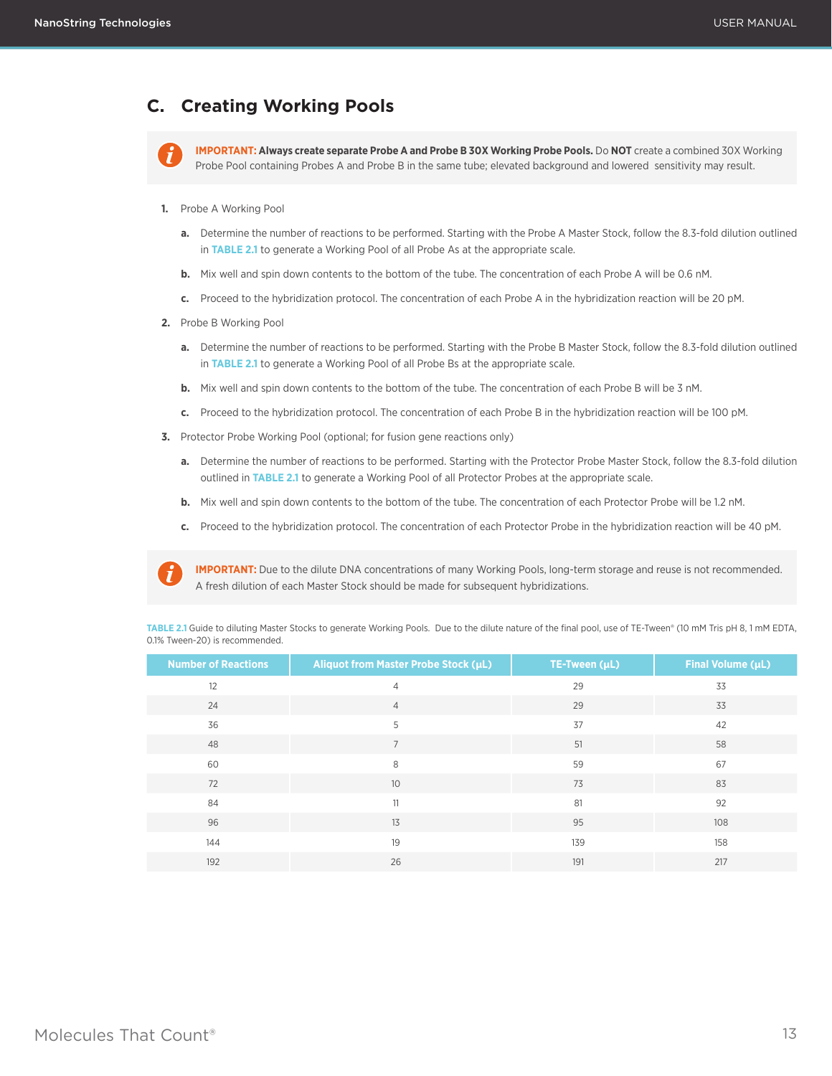### **C. Creating Working Pools**

**IMPORTANT: Always create separate Probe A and Probe B 30X Working Probe Pools.** Do **NOT** create a combined 30X Working Probe Pool containing Probes A and Probe B in the same tube; elevated background and lowered sensitivity may result.

- **1.** Probe A Working Pool
	- **a.** Determine the number of reactions to be performed. Starting with the Probe A Master Stock, follow the 8.3-fold dilution outlined in **TABLE 2.1** to generate a Working Pool of all Probe As at the appropriate scale.
	- **b.** Mix well and spin down contents to the bottom of the tube. The concentration of each Probe A will be 0.6 nM.
	- **c.** Proceed to the hybridization protocol. The concentration of each Probe A in the hybridization reaction will be 20 pM.
- **2.** Probe B Working Pool
	- **a.** Determine the number of reactions to be performed. Starting with the Probe B Master Stock, follow the 8.3-fold dilution outlined in **TABLE 2.1** to generate a Working Pool of all Probe Bs at the appropriate scale.
	- **b.** Mix well and spin down contents to the bottom of the tube. The concentration of each Probe B will be 3 nM.
	- **c.** Proceed to the hybridization protocol. The concentration of each Probe B in the hybridization reaction will be 100 pM.
- **3.** Protector Probe Working Pool (optional; for fusion gene reactions only)
	- **a.** Determine the number of reactions to be performed. Starting with the Protector Probe Master Stock, follow the 8.3-fold dilution outlined in **TABLE 2.1** to generate a Working Pool of all Protector Probes at the appropriate scale.
	- **b.** Mix well and spin down contents to the bottom of the tube. The concentration of each Protector Probe will be 1.2 nM.
	- **c.** Proceed to the hybridization protocol. The concentration of each Protector Probe in the hybridization reaction will be 40 pM.

**IMPORTANT:** Due to the dilute DNA concentrations of many Working Pools, long-term storage and reuse is not recommended. A fresh dilution of each Master Stock should be made for subsequent hybridizations.

| TABLE 2.1 Guide to diluting Master Stocks to generate Working Pools. Due to the dilute nature of the final pool, use of TE-Tween® (10 mM Tris pH 8, 1 mM EDTA, |  |
|----------------------------------------------------------------------------------------------------------------------------------------------------------------|--|
| 0.1% Tween-20) is recommended.                                                                                                                                 |  |

| <b>Number of Reactions</b> | Aliquot from Master Probe Stock (µL) | TE-Tween (µL) | Final Volume (µL) |
|----------------------------|--------------------------------------|---------------|-------------------|
| 12                         | 4                                    | 29            | 33                |
| 24                         | $\overline{4}$                       | 29            | 33                |
| 36                         | 5                                    | 37            | 42                |
| 48                         | 7                                    | 51            | 58                |
| 60                         | 8                                    | 59            | 67                |
| 72                         | 10                                   | 73            | 83                |
| 84                         | 11                                   | 81            | 92                |
| 96                         | 13                                   | 95            | 108               |
| 144                        | 19                                   | 139           | 158               |
| 192                        | 26                                   | 191           | 217               |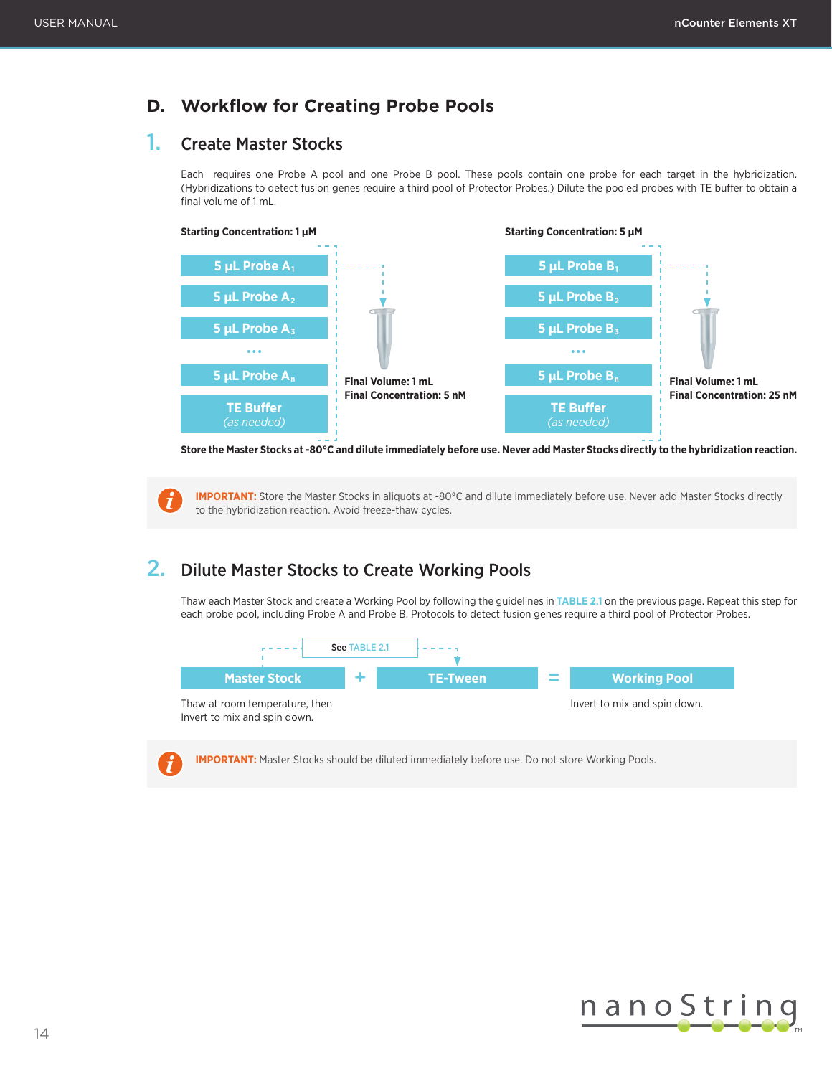#### **D. Workflow for Creating Probe Pools**

### 1. Create Master Stocks

Each requires one Probe A pool and one Probe B pool. These pools contain one probe for each target in the hybridization. (Hybridizations to detect fusion genes require a third pool of Protector Probes.) Dilute the pooled probes with TE buffer to obtain a final volume of 1 mL.



**Store the Master Stocks at -80°C and dilute immediately before use. Never add Master Stocks directly to the hybridization reaction.**

**IMPORTANT:** Store the Master Stocks in aliquots at -80°C and dilute immediately before use. Never add Master Stocks directly to the hybridization reaction. Avoid freeze-thaw cycles.

### 2. Dilute Master Stocks to Create Working Pools

Thaw each Master Stock and create a Working Pool by following the guidelines in **TABLE 2.1** on the previous page. Repeat this step for each probe pool, including Probe A and Probe B. Protocols to detect fusion genes require a third pool of Protector Probes.



**IMPORTANT:** Master Stocks should be diluted immediately before use. Do not store Working Pools.

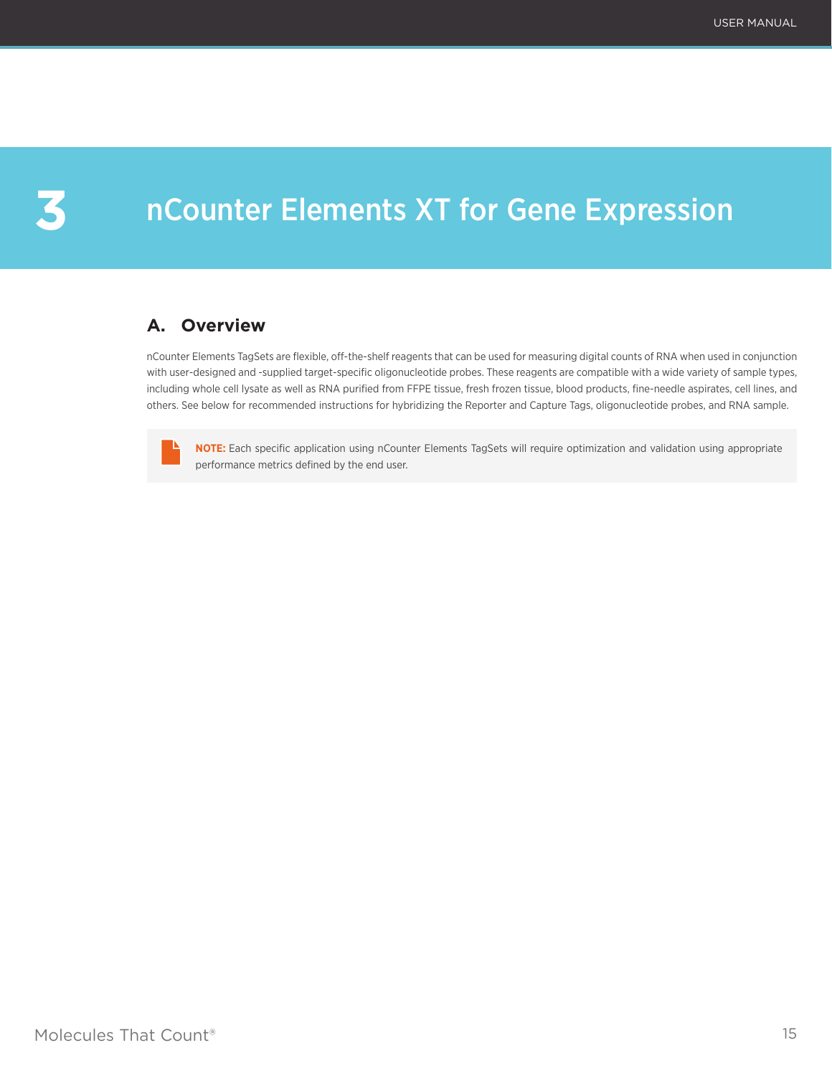# **3** nCounter Elements XT for Gene Expression

#### **A. Overview**

nCounter Elements TagSets are flexible, off-the-shelf reagents that can be used for measuring digital counts of RNA when used in conjunction with user-designed and -supplied target-specific oligonucleotide probes. These reagents are compatible with a wide variety of sample types, including whole cell lysate as well as RNA purified from FFPE tissue, fresh frozen tissue, blood products, fine-needle aspirates, cell lines, and others. See below for recommended instructions for hybridizing the Reporter and Capture Tags, oligonucleotide probes, and RNA sample.



**NOTE:** Each specific application using nCounter Elements TagSets will require optimization and validation using appropriate performance metrics defined by the end user.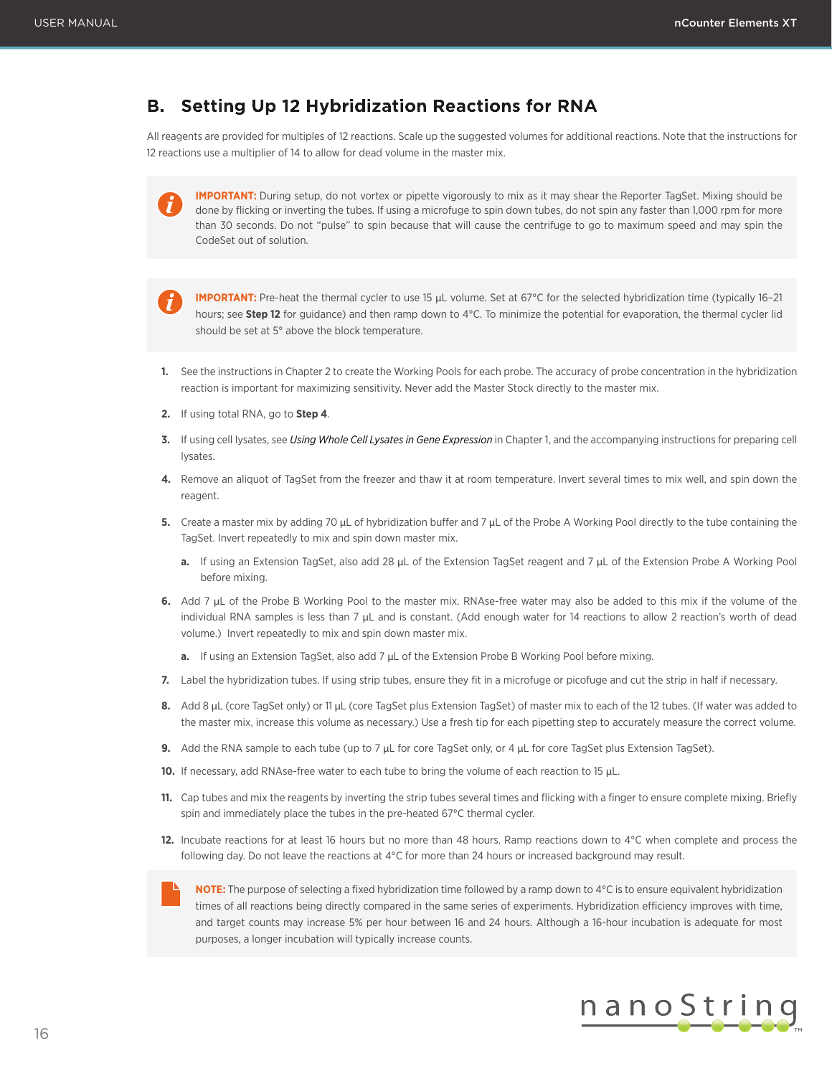#### **Setting Up 12 Hybridization Reactions for RNA** В.

All reagents are provided for multiples of 12 reactions. Scale up the suggested volumes for additional reactions. Note that the instructions for 12 reactions use a multiplier of 14 to allow for dead volume in the master mix.

**IMPORTANT:** During setup, do not vortex or pipette vigorously to mix as it may shear the Reporter TagSet. Mixing should be done by flicking or inverting the tubes. If using a microfuge to spin down tubes, do not spin any faster than 1,000 rpm for more than 30 seconds. Do not "pulse" to spin because that will cause the centrifuge to go to maximum speed and may spin the CodeSet out of solution.



**IMPORTANT:** Pre-heat the thermal cycler to use 15 μL volume. Set at 67°C for the selected hybridization time (typically 16–21 hours; see **Step 12** for guidance) and then ramp down to 4°C. To minimize the potential for evaporation, the thermal cycler lid should be set at 5° above the block temperature.

- **1.** See the instructions in [Chapter](#page-10-0) 2 to create the Working Pools for each probe. The accuracy of probe concentration in the hybridization reaction is important for maximizing sensitivity. Never add the Master Stock directly to the master mix.
- **2.** If using total RNA, go to **Step 4**.
- **3.** If using cell lysates, see *[Using Whole Cell Lysates in Gene Expression](#page-8-0)* in Chapter 1, and the accompanying instructions for preparing cell lysates.
- **4.** Remove an aliquot of TagSet from the freezer and thaw it at room temperature. Invert several times to mix well, and spin down the reagent.
- **5.** Create a master mix by adding 70 μL of hybridization buffer and 7 μL of the Probe A Working Pool directly to the tube containing the TagSet. Invert repeatedly to mix and spin down master mix.
	- **a.** If using an Extension TagSet, also add 28 μL of the Extension TagSet reagent and 7 μL of the Extension Probe A Working Pool before mixing.
- **6.** Add 7 μL of the Probe B Working Pool to the master mix. RNAse-free water may also be added to this mix if the volume of the individual RNA samples is less than 7 μL and is constant. (Add enough water for 14 reactions to allow 2 reaction's worth of dead volume.) Invert repeatedly to mix and spin down master mix.
	- **a.** If using an Extension TagSet, also add 7 μL of the Extension Probe B Working Pool before mixing.
- **7.** Label the hybridization tubes. If using strip tubes, ensure they fit in a microfuge or picofuge and cut the strip in half if necessary.
- **8.** Add 8 μL (core TagSet only) or 11 μL (core TagSet plus Extension TagSet) of master mix to each of the 12 tubes. (If water was added to the master mix, increase this volume as necessary.) Use a fresh tip for each pipetting step to accurately measure the correct volume.
- **9.** Add the RNA sample to each tube (up to 7 μL for core TagSet only, or 4 μL for core TagSet plus Extension TagSet).
- **10.** If necessary, add RNAse-free water to each tube to bring the volume of each reaction to 15 μL.
- **11.** Cap tubes and mix the reagents by inverting the strip tubes several times and flicking with a finger to ensure complete mixing. Briefly spin and immediately place the tubes in the pre-heated 67°C thermal cycler.
- **12.** Incubate reactions for at least 16 hours but no more than 48 hours. Ramp reactions down to 4°C when complete and process the following day. Do not leave the reactions at 4°C for more than 24 hours or increased background may result.

**NOTE:** The purpose of selecting a fixed hybridization time followed by a ramp down to 4°C is to ensure equivalent hybridization times of all reactions being directly compared in the same series of experiments. Hybridization efficiency improves with time, and target counts may increase 5% per hour between 16 and 24 hours. Although a 16-hour incubation is adequate for most purposes, a longer incubation will typically increase counts.

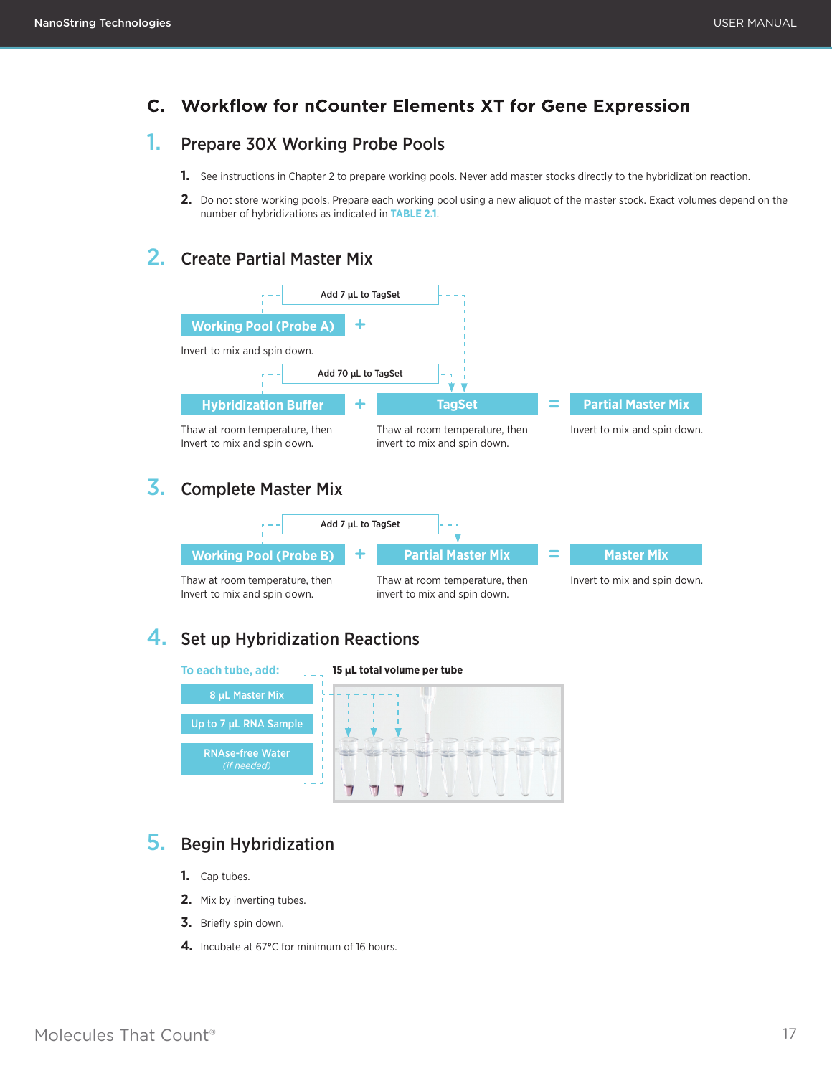#### C. Workflow for nCounter Elements XT for Gene Expression

### 1. Prepare 30X Working Probe Pools

- **1.** See instructions in Chapter 2 to prepare working pools. Never add master stocks directly to the hybridization reaction.
- **2.** Do not store working pools. Prepare each working pool using a new aliquot of the master stock. Exact volumes depend on the number of hybridizations as indicated in **TABLE 2.1**.

#### 2. Create Partial Master Mix



### 3. Complete Master Mix



### 4. Set up Hybridization Reactions



### 5. Begin Hybridization

- **1.** Cap tubes.
- **2.** Mix by inverting tubes.
- **3.** Briefly spin down.
- **4.** Incubate at 67**°**C for minimum of 16 hours.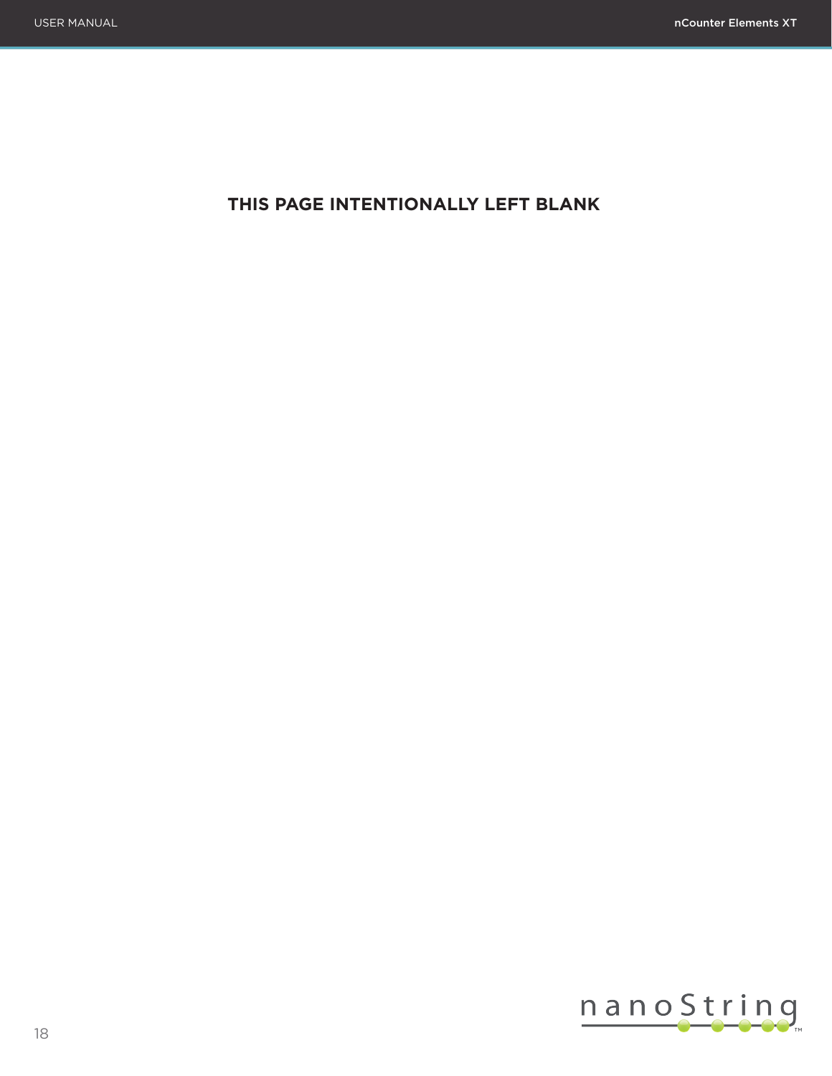**THIS PAGE INTENTIONALLY LEFT BLANK**

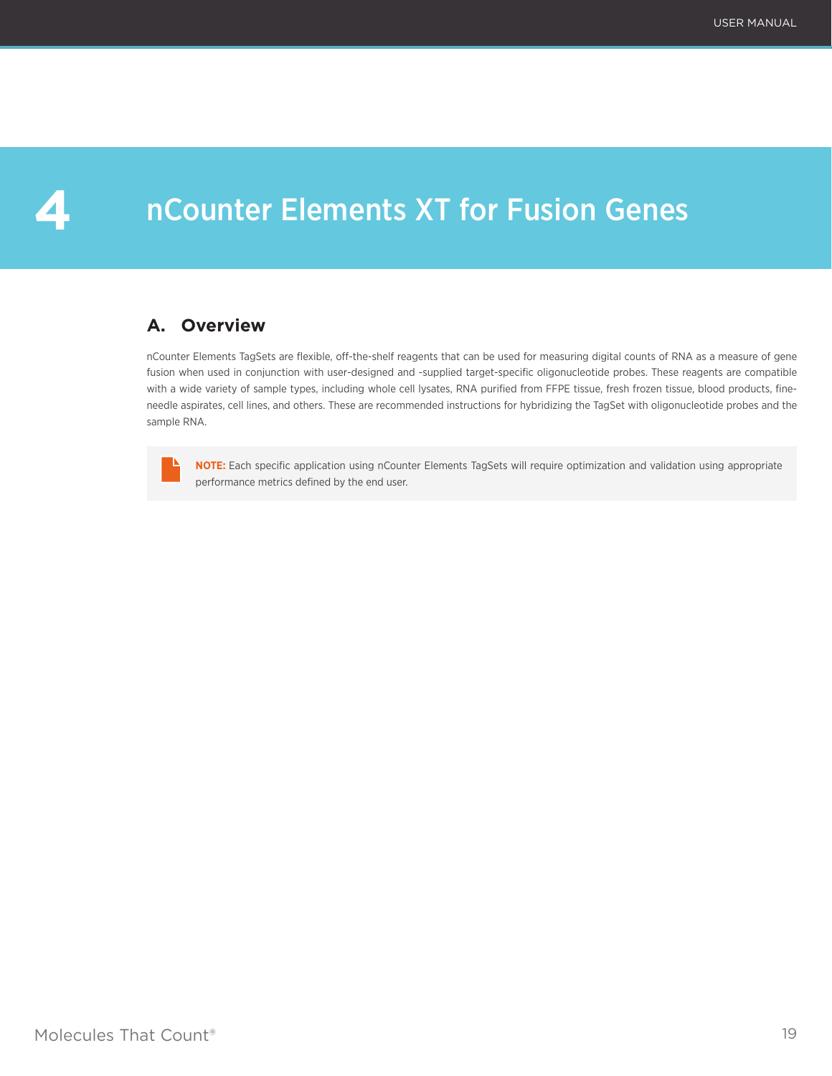# **4 nCounter Elements XT for Fusion Genes**

#### **A. Overview**

nCounter Elements TagSets are flexible, off-the-shelf reagents that can be used for measuring digital counts of RNA as a measure of gene fusion when used in conjunction with user-designed and -supplied target-specific oligonucleotide probes. These reagents are compatible with a wide variety of sample types, including whole cell lysates, RNA purified from FFPE tissue, fresh frozen tissue, blood products, fineneedle aspirates, cell lines, and others. These are recommended instructions for hybridizing the TagSet with oligonucleotide probes and the sample RNA.



**NOTE:** Each specific application using nCounter Elements TagSets will require optimization and validation using appropriate performance metrics defined by the end user.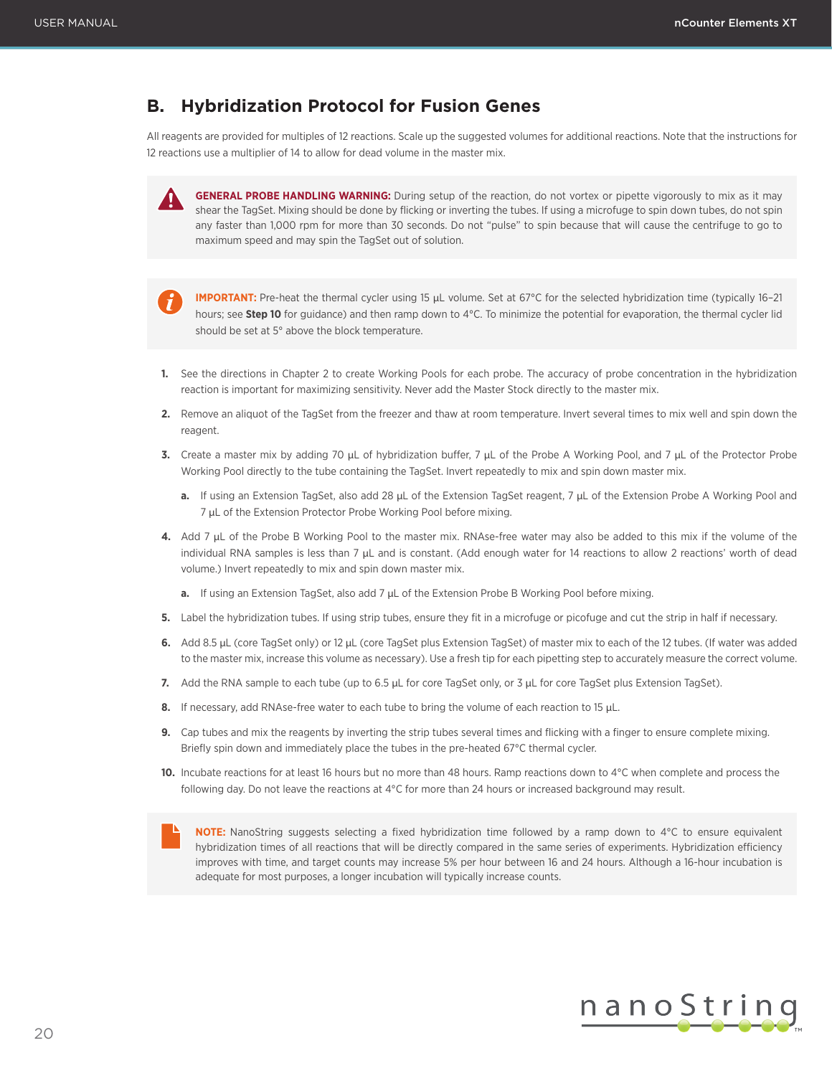#### **B. Hybridization Protocol for Fusion Genes**

All reagents are provided for multiples of 12 reactions. Scale up the suggested volumes for additional reactions. Note that the instructions for 12 reactions use a multiplier of 14 to allow for dead volume in the master mix.



**GENERAL PROBE HANDLING WARNING:** During setup of the reaction, do not vortex or pipette vigorously to mix as it may shear the TagSet. Mixing should be done by flicking or inverting the tubes. If using a microfuge to spin down tubes, do not spin any faster than 1,000 rpm for more than 30 seconds. Do not "pulse" to spin because that will cause the centrifuge to go to maximum speed and may spin the TagSet out of solution.



**IMPORTANT:** Pre-heat the thermal cycler using 15 μL volume. Set at 67°C for the selected hybridization time (typically 16–21 hours; see **Step 10** for guidance) and then ramp down to 4°C. To minimize the potential for evaporation, the thermal cycler lid should be set at 5° above the block temperature.

- **1.** See the directions in Chapter 2 to create Working Pools for each probe. The accuracy of probe concentration in the hybridization reaction is important for maximizing sensitivity. Never add the Master Stock directly to the master mix.
- **2.** Remove an aliquot of the TagSet from the freezer and thaw at room temperature. Invert several times to mix well and spin down the reagent.
- **3.** Create a master mix by adding 70 μL of hybridization buffer, 7 μL of the Probe A Working Pool, and 7 μL of the Protector Probe Working Pool directly to the tube containing the TagSet. Invert repeatedly to mix and spin down master mix.
	- **a.** If using an Extension TagSet, also add 28 μL of the Extension TagSet reagent, 7 μL of the Extension Probe A Working Pool and 7 μL of the Extension Protector Probe Working Pool before mixing.
- **4.** Add 7 μL of the Probe B Working Pool to the master mix. RNAse-free water may also be added to this mix if the volume of the individual RNA samples is less than 7 μL and is constant. (Add enough water for 14 reactions to allow 2 reactions' worth of dead volume.) Invert repeatedly to mix and spin down master mix.
	- **a.** If using an Extension TagSet, also add 7 μL of the Extension Probe B Working Pool before mixing.
- **5.** Label the hybridization tubes. If using strip tubes, ensure they fit in a microfuge or picofuge and cut the strip in half if necessary.
- **6.** Add 8.5 μL (core TagSet only) or 12 μL (core TagSet plus Extension TagSet) of master mix to each of the 12 tubes. (If water was added to the master mix, increase this volume as necessary). Use a fresh tip for each pipetting step to accurately measure the correct volume.
- **7.** Add the RNA sample to each tube (up to 6.5 μL for core TagSet only, or 3 μL for core TagSet plus Extension TagSet).
- **8.** If necessary, add RNAse-free water to each tube to bring the volume of each reaction to 15 μL.
- **9.** Cap tubes and mix the reagents by inverting the strip tubes several times and flicking with a finger to ensure complete mixing. Briefly spin down and immediately place the tubes in the pre-heated 67°C thermal cycler.
- **10.** Incubate reactions for at least 16 hours but no more than 48 hours. Ramp reactions down to 4°C when complete and process the following day. Do not leave the reactions at 4°C for more than 24 hours or increased background may result.
	- **NOTE:** NanoString suggests selecting a fixed hybridization time followed by a ramp down to 4°C to ensure equivalent hybridization times of all reactions that will be directly compared in the same series of experiments. Hybridization efficiency improves with time, and target counts may increase 5% per hour between 16 and 24 hours. Although a 16-hour incubation is adequate for most purposes, a longer incubation will typically increase counts.

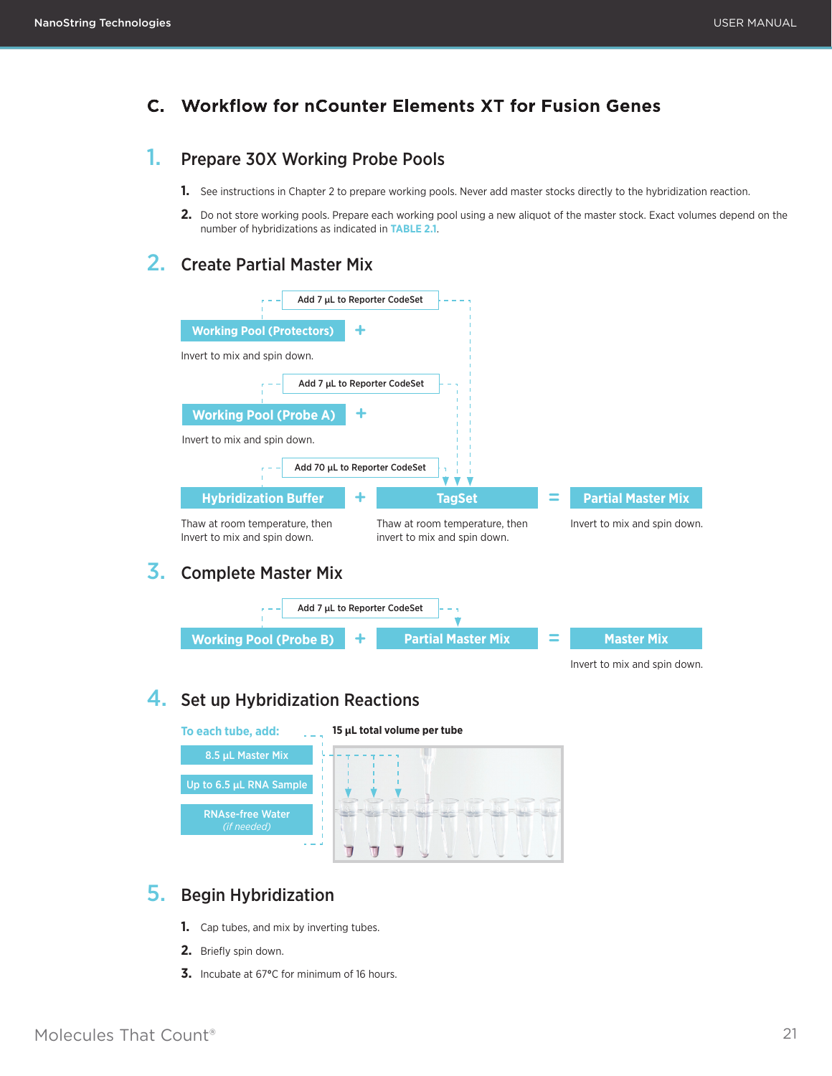#### C. Workflow for nCounter Elements XT for Fusion Genes

### 1. Prepare 30X Working Probe Pools

- **1.** See instructions in Chapter 2 to prepare working pools. Never add master stocks directly to the hybridization reaction.
- **2.** Do not store working pools. Prepare each working pool using a new aliquot of the master stock. Exact volumes depend on the number of hybridizations as indicated in **TABLE 2.1**.

#### 2. Create Partial Master Mix



### 3. Complete Master Mix



### 4. Set up Hybridization Reactions



### 5. Begin Hybridization

- **1.** Cap tubes, and mix by inverting tubes.
- **2.** Briefly spin down.
- **3.** Incubate at 67**°**C for minimum of 16 hours.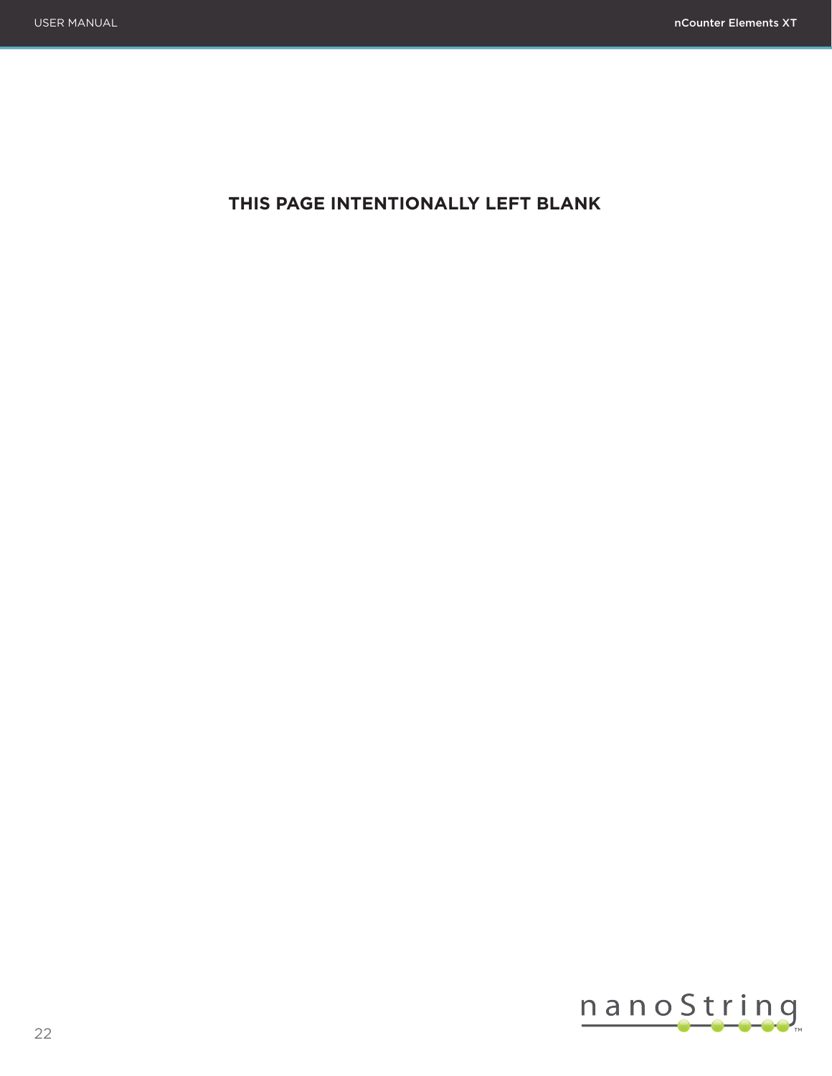**THIS PAGE INTENTIONALLY LEFT BLANK**

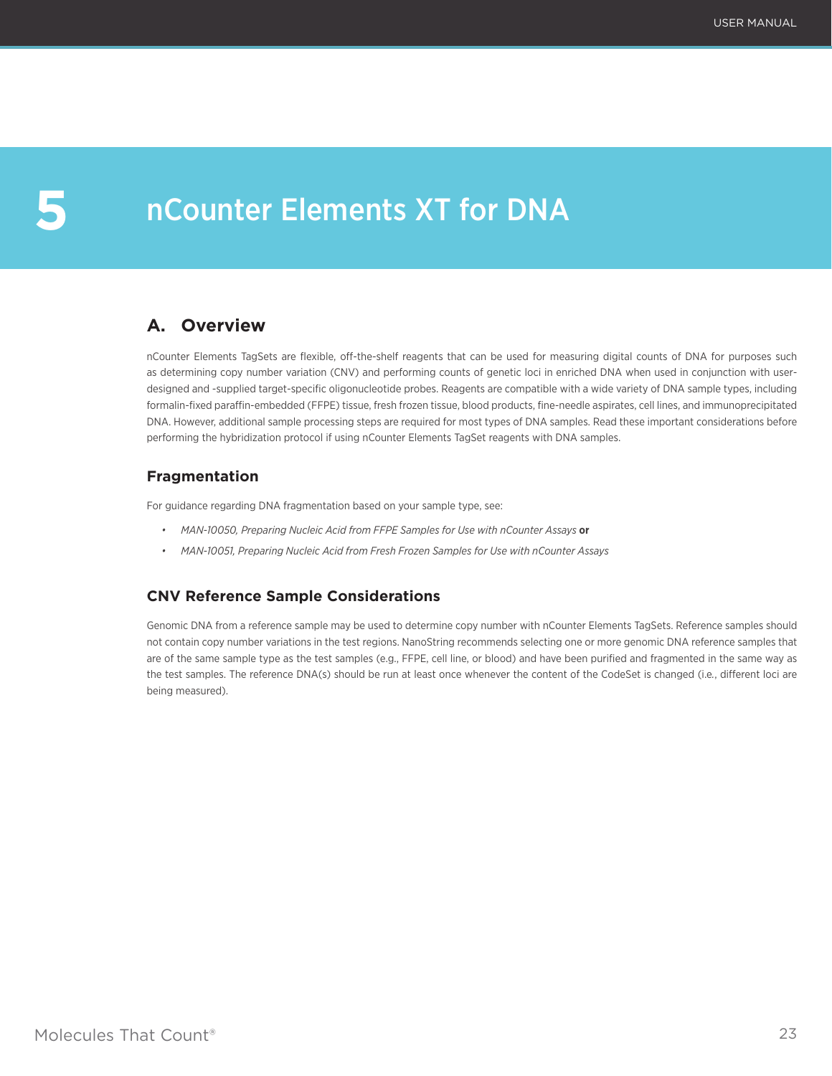# **5** nCounter Elements XT for DNA

#### **A. Overview**

nCounter Elements TagSets are flexible, off-the-shelf reagents that can be used for measuring digital counts of DNA for purposes such as determining copy number variation (CNV) and performing counts of genetic loci in enriched DNA when used in conjunction with userdesigned and -supplied target-specific oligonucleotide probes. Reagents are compatible with a wide variety of DNA sample types, including formalin-fixed paraffin-embedded (FFPE) tissue, fresh frozen tissue, blood products, fine-needle aspirates, cell lines, and immunoprecipitated DNA. However, additional sample processing steps are required for most types of DNA samples. Read these important considerations before performing the hybridization protocol if using nCounter Elements TagSet reagents with DNA samples.

#### **Fragmentation**

For guidance regarding DNA fragmentation based on your sample type, see:

- *• [MAN-10050, Preparing Nucleic Acid from FFPE Samples for Use with nCounter Assays](https://www.nanostring.com/download_file/view/867/3778)* **or**
- *• [MAN-10051, Preparing Nucleic Acid from Fresh Frozen Samples for Use with nCounter Assays](https://www.nanostring.com/download_file/view/860/3778)*

#### **CNV Reference Sample Considerations**

Genomic DNA from a reference sample may be used to determine copy number with nCounter Elements TagSets. Reference samples should not contain copy number variations in the test regions. NanoString recommends selecting one or more genomic DNA reference samples that are of the same sample type as the test samples (e.g., FFPE, cell line, or blood) and have been purified and fragmented in the same way as the test samples. The reference DNA(s) should be run at least once whenever the content of the CodeSet is changed (i.e*.*, different loci are being measured).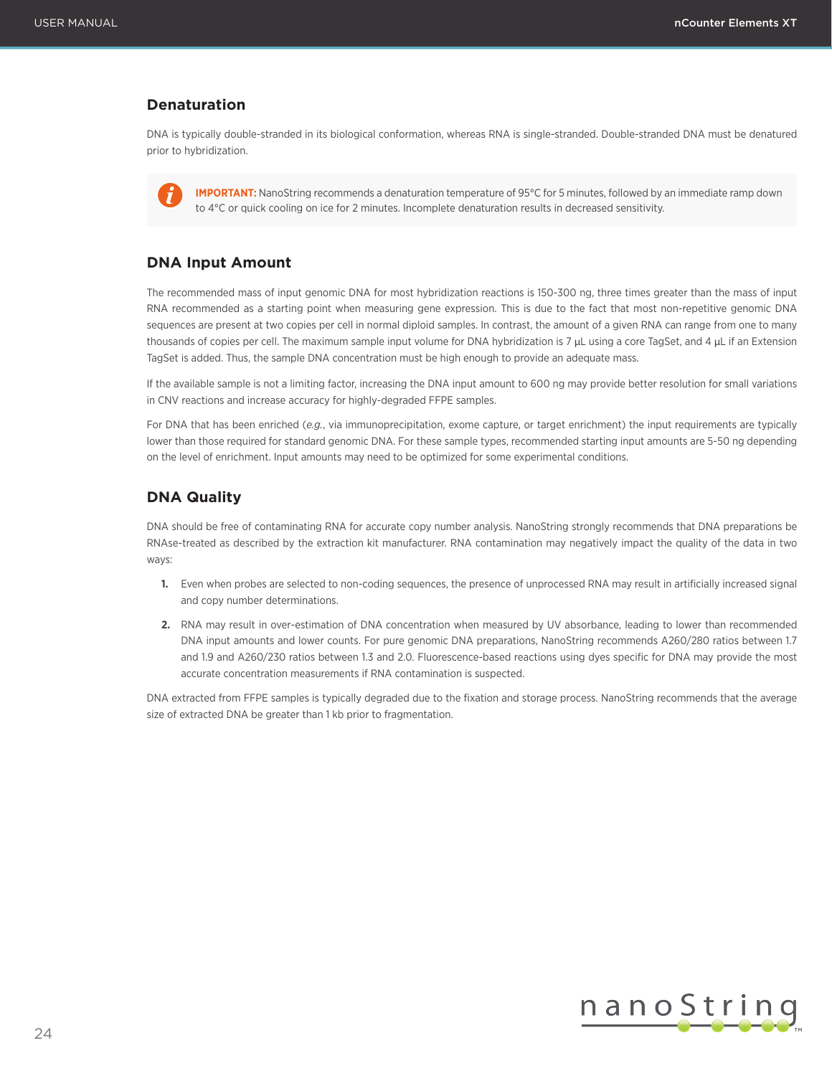#### **Denaturation**

DNA is typically double-stranded in its biological conformation, whereas RNA is single-stranded. Double-stranded DNA must be denatured prior to hybridization.

**IMPORTANT:** NanoString recommends a denaturation temperature of 95°C for 5 minutes, followed by an immediate ramp down to 4°C or quick cooling on ice for 2 minutes. Incomplete denaturation results in decreased sensitivity.

#### **DNA Input Amount**

The recommended mass of input genomic DNA for most hybridization reactions is 150-300 ng, three times greater than the mass of input RNA recommended as a starting point when measuring gene expression. This is due to the fact that most non-repetitive genomic DNA sequences are present at two copies per cell in normal diploid samples. In contrast, the amount of a given RNA can range from one to many thousands of copies per cell. The maximum sample input volume for DNA hybridization is 7 μL using a core TagSet, and 4 μL if an Extension TagSet is added. Thus, the sample DNA concentration must be high enough to provide an adequate mass.

If the available sample is not a limiting factor, increasing the DNA input amount to 600 ng may provide better resolution for small variations in CNV reactions and increase accuracy for highly-degraded FFPE samples.

For DNA that has been enriched (*e.g.*, via immunoprecipitation, exome capture, or target enrichment) the input requirements are typically lower than those required for standard genomic DNA. For these sample types, recommended starting input amounts are 5-50 ng depending on the level of enrichment. Input amounts may need to be optimized for some experimental conditions.

#### **DNA Quality**

DNA should be free of contaminating RNA for accurate copy number analysis. NanoString strongly recommends that DNA preparations be RNAse-treated as described by the extraction kit manufacturer. RNA contamination may negatively impact the quality of the data in two ways:

- **1.** Even when probes are selected to non-coding sequences, the presence of unprocessed RNA may result in artificially increased signal and copy number determinations.
- **2.** RNA may result in over-estimation of DNA concentration when measured by UV absorbance, leading to lower than recommended DNA input amounts and lower counts. For pure genomic DNA preparations, NanoString recommends A260/280 ratios between 1.7 and 1.9 and A260/230 ratios between 1.3 and 2.0. Fluorescence-based reactions using dyes specific for DNA may provide the most accurate concentration measurements if RNA contamination is suspected.

DNA extracted from FFPE samples is typically degraded due to the fixation and storage process. NanoString recommends that the average size of extracted DNA be greater than 1 kb prior to fragmentation.

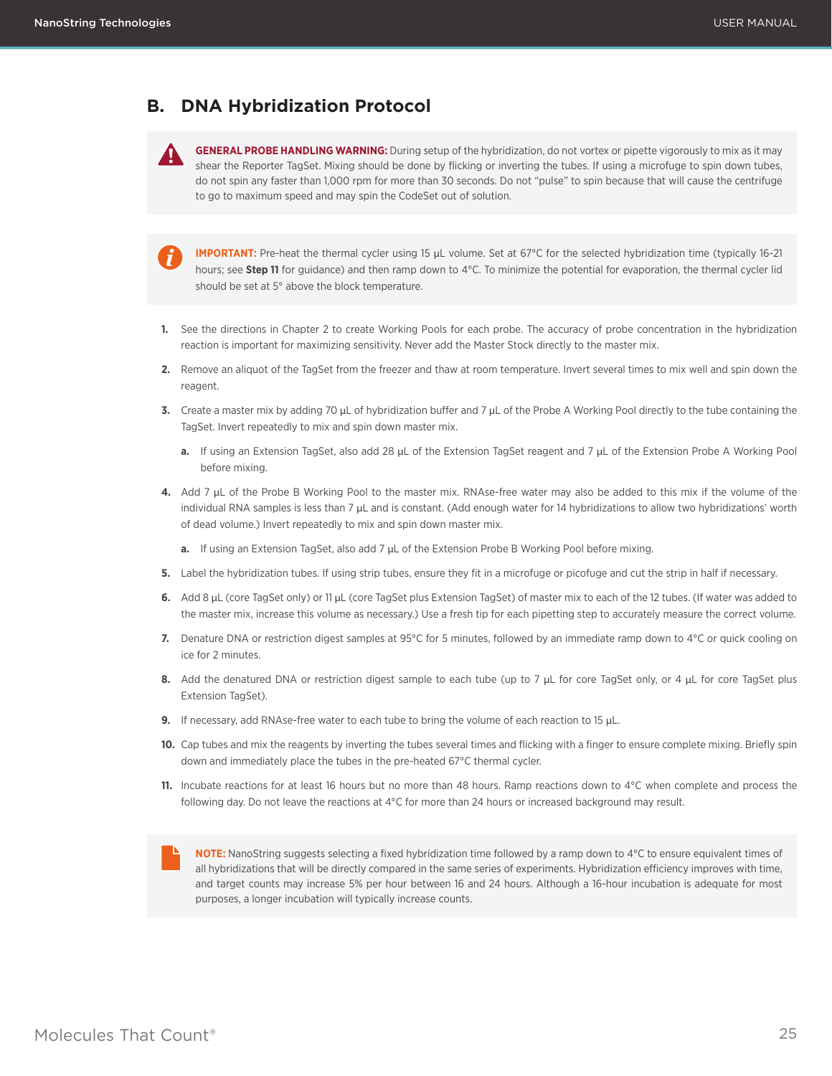#### **B. DNA Hybridization Protocol**

**GENERAL PROBE HANDLING WARNING:** During setup of the hybridization, do not vortex or pipette vigorously to mix as it may shear the Reporter TagSet. Mixing should be done by flicking or inverting the tubes. If using a microfuge to spin down tubes, do not spin any faster than 1,000 rpm for more than 30 seconds. Do not "pulse" to spin because that will cause the centrifuge to go to maximum speed and may spin the CodeSet out of solution.

**IMPORTANT:** Pre-heat the thermal cycler using 15 μL volume. Set at 67°C for the selected hybridization time (typically 16-21 hours; see Step 11 for guidance) and then ramp down to 4°C. To minimize the potential for evaporation, the thermal cycler lid should be set at 5° above the block temperature.

- **1.** See the directions in [Chapter 2](#page-10-0) to create Working Pools for each probe. The accuracy of probe concentration in the hybridization reaction is important for maximizing sensitivity. Never add the Master Stock directly to the master mix.
- **2.** Remove an aliquot of the TagSet from the freezer and thaw at room temperature. Invert several times to mix well and spin down the reagent.
- **3.** Create a master mix by adding 70 μL of hybridization buffer and 7 μL of the Probe A Working Pool directly to the tube containing the TagSet. Invert repeatedly to mix and spin down master mix.
	- **a.** If using an Extension TagSet, also add 28 μL of the Extension TagSet reagent and 7 μL of the Extension Probe A Working Pool before mixing.
- **4.** Add 7 μL of the Probe B Working Pool to the master mix. RNAse-free water may also be added to this mix if the volume of the individual RNA samples is less than 7 μL and is constant. (Add enough water for 14 hybridizations to allow two hybridizations' worth of dead volume.) Invert repeatedly to mix and spin down master mix.
	- **a.** If using an Extension TagSet, also add 7 μL of the Extension Probe B Working Pool before mixing.
- **5.** Label the hybridization tubes. If using strip tubes, ensure they fit in a microfuge or picofuge and cut the strip in half if necessary.
- **6.** Add 8 μL (core TagSet only) or 11 μL (core TagSet plus Extension TagSet) of master mix to each of the 12 tubes. (If water was added to the master mix, increase this volume as necessary.) Use a fresh tip for each pipetting step to accurately measure the correct volume.
- **7.** Denature DNA or restriction digest samples at 95°C for 5 minutes, followed by an immediate ramp down to 4°C or quick cooling on ice for 2 minutes.
- **8.** Add the denatured DNA or restriction digest sample to each tube (up to 7 μL for core TagSet only, or 4 μL for core TagSet plus Extension TagSet).
- **9.** If necessary, add RNAse-free water to each tube to bring the volume of each reaction to 15 μL.
- **10.** Cap tubes and mix the reagents by inverting the tubes several times and flicking with a finger to ensure complete mixing. Briefly spin down and immediately place the tubes in the pre-heated 67°C thermal cycler.
- **11.** Incubate reactions for at least 16 hours but no more than 48 hours. Ramp reactions down to 4°C when complete and process the following day. Do not leave the reactions at 4°C for more than 24 hours or increased background may result.
- **NOTE:** NanoString suggests selecting a fixed hybridization time followed by a ramp down to 4°C to ensure equivalent times of all hybridizations that will be directly compared in the same series of experiments. Hybridization efficiency improves with time, and target counts may increase 5% per hour between 16 and 24 hours. Although a 16-hour incubation is adequate for most purposes, a longer incubation will typically increase counts.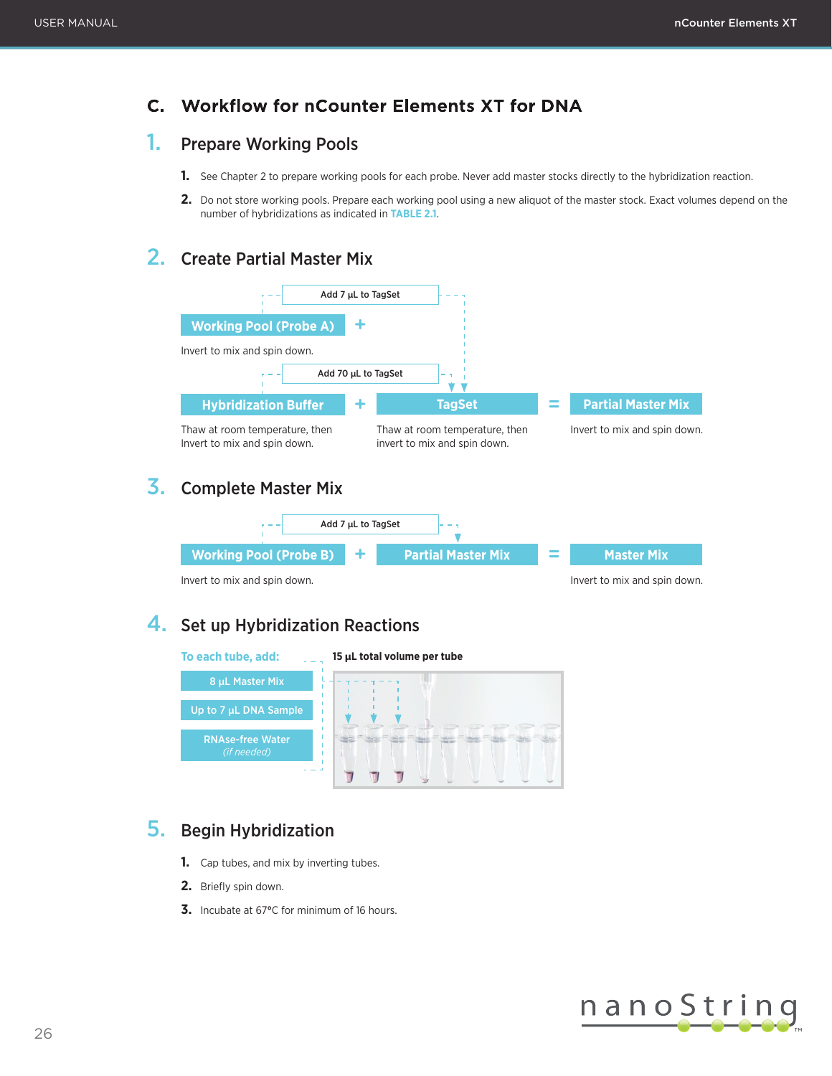#### C. Workflow for nCounter Elements XT for DNA

### 1. Prepare Working Pools

- **1.** See Chapter 2 to prepare working pools for each probe. Never add master stocks directly to the hybridization reaction.
- **2.** Do not store working pools. Prepare each working pool using a new aliquot of the master stock. Exact volumes depend on the number of hybridizations as indicated in **TABLE 2.1**.

### 2. Create Partial Master Mix



### 3. Complete Master Mix

|                               | Add 7 µL to TagSet |                           |                              |
|-------------------------------|--------------------|---------------------------|------------------------------|
| <b>Working Pool (Probe B)</b> |                    | <b>Partial Master Mix</b> | <b>Master Mix</b>            |
| Invert to mix and spin down.  |                    |                           | Invert to mix and spin down. |

### 4. Set up Hybridization Reactions



### 5. Begin Hybridization

- **1.** Cap tubes, and mix by inverting tubes.
- **2.** Briefly spin down.
- **3.** Incubate at 67**°**C for minimum of 16 hours.